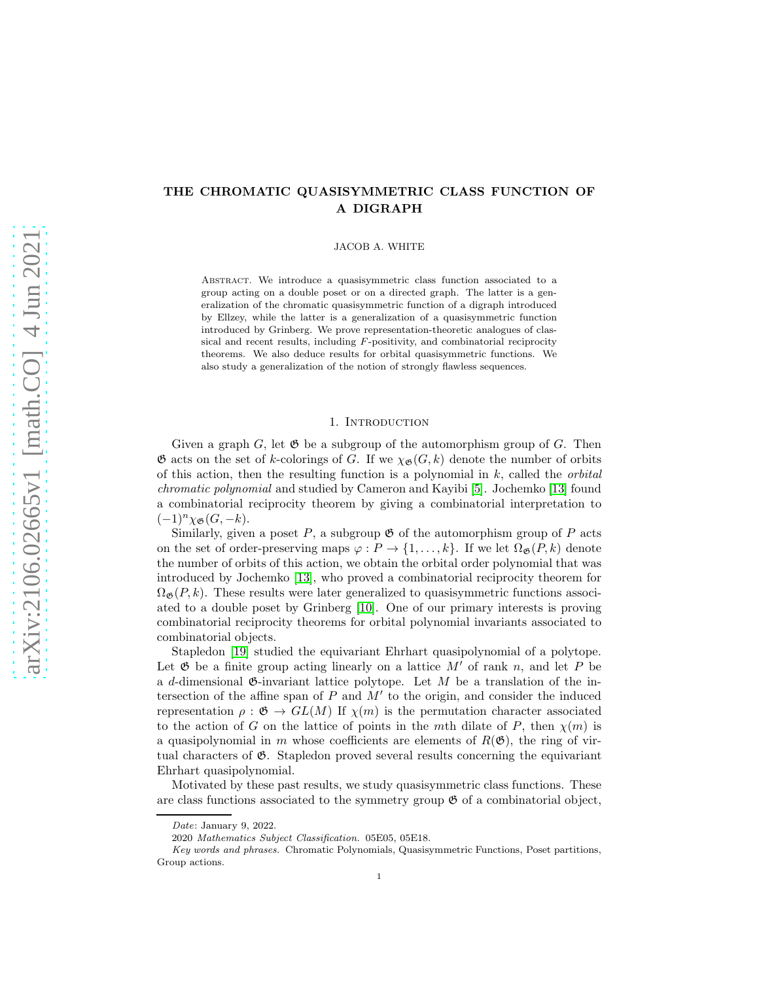# THE CHROMATIC QUASISYMMETRIC CLASS FUNCTION OF A DIGRAPH

JACOB A. WHITE

ABSTRACT. We introduce a quasisymmetric class function associated to a group acting on a double poset or on a directed graph. The latter is a generalization of the chromatic quasisymmetric function of a digraph introduced by Ellzey, while the latter is a generalization of a quasisymmetric function introduced by Grinberg. We prove representation-theoretic analogues of classical and recent results, including F-positivity, and combinatorial reciprocity theorems. We also deduce results for orbital quasisymmetric functions. We also study a generalization of the notion of strongly flawless sequences.

# 1. INTRODUCTION

Given a graph  $G$ , let  $\mathfrak G$  be a subgroup of the automorphism group of  $G$ . Then  $\mathfrak G$  acts on the set of k-colorings of G. If we  $\chi_{\mathfrak G}(G, k)$  denote the number of orbits of this action, then the resulting function is a polynomial in  $k$ , called the *orbital* chromatic polynomial and studied by Cameron and Kayibi [\[5\]](#page-25-0). Jochemko [\[13\]](#page-26-0) found a combinatorial reciprocity theorem by giving a combinatorial interpretation to  $(-1)^n \chi_{\mathfrak{G}}(G, -k).$ 

Similarly, given a poset  $P$ , a subgroup  $\mathfrak G$  of the automorphism group of  $P$  acts on the set of order-preserving maps  $\varphi: P \to \{1, \ldots, k\}$ . If we let  $\Omega_{\mathfrak{G}}(P, k)$  denote the number of orbits of this action, we obtain the orbital order polynomial that was introduced by Jochemko [\[13\]](#page-26-0), who proved a combinatorial reciprocity theorem for  $\Omega_{\mathfrak{G}}(P, k)$ . These results were later generalized to quasisymmetric functions associated to a double poset by Grinberg [\[10\]](#page-26-1). One of our primary interests is proving combinatorial reciprocity theorems for orbital polynomial invariants associated to combinatorial objects.

Stapledon [\[19\]](#page-26-2) studied the equivariant Ehrhart quasipolynomial of a polytope. Let  $\mathfrak G$  be a finite group acting linearly on a lattice  $M'$  of rank n, and let P be a d-dimensional  $\mathfrak{G}$ -invariant lattice polytope. Let M be a translation of the intersection of the affine span of  $P$  and  $M'$  to the origin, and consider the induced representation  $\rho : \mathfrak{G} \to GL(M)$  If  $\chi(m)$  is the permutation character associated to the action of G on the lattice of points in the mth dilate of P, then  $\chi(m)$  is a quasipolynomial in m whose coefficients are elements of  $R(\mathfrak{G})$ , the ring of virtual characters of  $\mathfrak{G}$ . Stapledon proved several results concerning the equivariant Ehrhart quasipolynomial.

Motivated by these past results, we study quasisymmetric class functions. These are class functions associated to the symmetry group  $\mathfrak{G}$  of a combinatorial object,

Date: January 9, 2022.

<sup>2020</sup> Mathematics Subject Classification. 05E05, 05E18.

Key words and phrases. Chromatic Polynomials, Quasisymmetric Functions, Poset partitions, Group actions.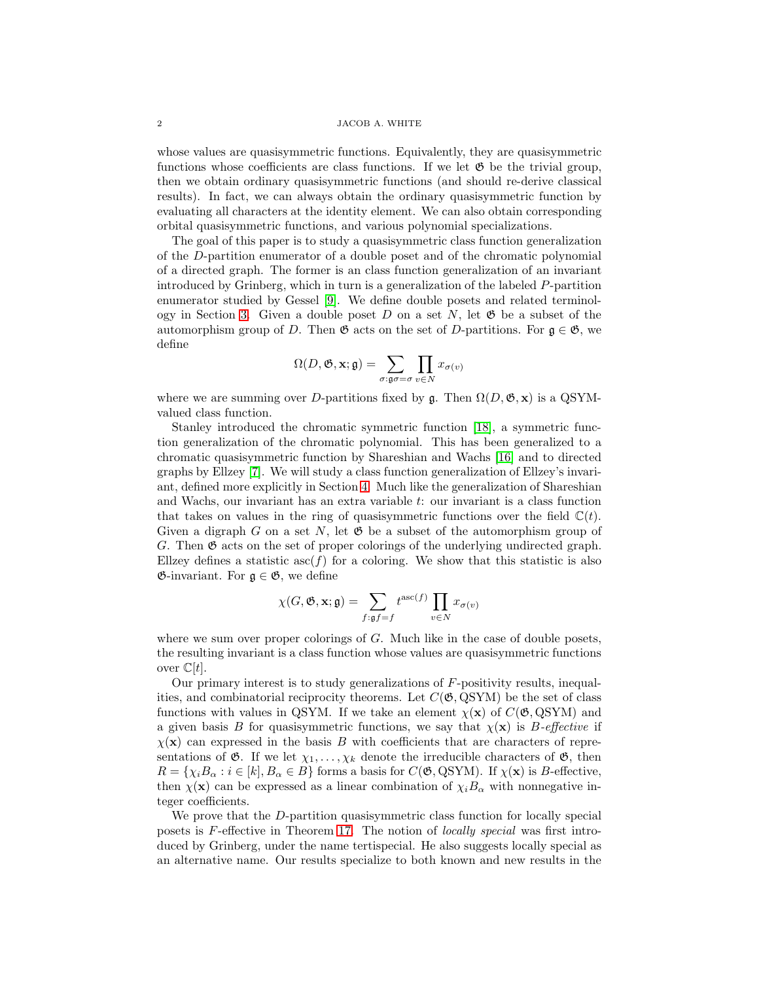#### $\,$  2  $\,$   $\,$  JACOB A. WHITE

whose values are quasisymmetric functions. Equivalently, they are quasisymmetric functions whose coefficients are class functions. If we let  $\mathfrak{G}$  be the trivial group, then we obtain ordinary quasisymmetric functions (and should re-derive classical results). In fact, we can always obtain the ordinary quasisymmetric function by evaluating all characters at the identity element. We can also obtain corresponding orbital quasisymmetric functions, and various polynomial specializations.

The goal of this paper is to study a quasisymmetric class function generalization of the D-partition enumerator of a double poset and of the chromatic polynomial of a directed graph. The former is an class function generalization of an invariant introduced by Grinberg, which in turn is a generalization of the labeled P-partition enumerator studied by Gessel [\[9\]](#page-26-3). We define double posets and related terminol-ogy in Section [3.](#page-8-0) Given a double poset D on a set N, let  $\mathfrak{G}$  be a subset of the automorphism group of D. Then  $\mathfrak{G}$  acts on the set of D-partitions. For  $\mathfrak{g} \in \mathfrak{G}$ , we define

$$
\Omega(D, \mathfrak{G}, \mathbf{x};\mathfrak{g})=\sum_{\sigma: \mathfrak{g}\sigma=\sigma}\prod_{v\in N}x_{\sigma(v)}
$$

where we are summing over D-partitions fixed by q. Then  $\Omega(D, \mathfrak{G}, \mathbf{x})$  is a QSYMvalued class function.

Stanley introduced the chromatic symmetric function [\[18\]](#page-26-4), a symmetric function generalization of the chromatic polynomial. This has been generalized to a chromatic quasisymmetric function by Shareshian and Wachs [\[16\]](#page-26-5) and to directed graphs by Ellzey [\[7\]](#page-26-6). We will study a class function generalization of Ellzey's invariant, defined more explicitly in Section [4.](#page-12-0) Much like the generalization of Shareshian and Wachs, our invariant has an extra variable t: our invariant is a class function that takes on values in the ring of quasisymmetric functions over the field  $\mathbb{C}(t)$ . Given a digraph G on a set N, let  $\mathfrak{G}$  be a subset of the automorphism group of G. Then  $\mathfrak G$  acts on the set of proper colorings of the underlying undirected graph. Ellzey defines a statistic  $asc(f)$  for a coloring. We show that this statistic is also  $\mathfrak{G}\text{-invariant}$ . For  $\mathfrak{g}\in\mathfrak{G}$ , we define

$$
\chi(G, \mathfrak{G}, \mathbf{x}; \mathfrak{g}) = \sum_{f: \mathfrak{g}f = f} t^{\mathrm{asc}(f)} \prod_{v \in N} x_{\sigma(v)}
$$

where we sum over proper colorings of  $G$ . Much like in the case of double posets, the resulting invariant is a class function whose values are quasisymmetric functions over  $\mathbb{C}[t]$ .

Our primary interest is to study generalizations of  $F$ -positivity results, inequalities, and combinatorial reciprocity theorems. Let  $C(\mathfrak{G}, \mathrm{QSYM})$  be the set of class functions with values in QSYM. If we take an element  $\chi(\mathbf{x})$  of  $C(\mathfrak{G}, \mathrm{QSYM})$  and a given basis B for quasisymmetric functions, we say that  $\chi(\mathbf{x})$  is B-effective if  $\chi(\mathbf{x})$  can expressed in the basis B with coefficients that are characters of representations of  $\mathfrak{G}$ . If we let  $\chi_1, \ldots, \chi_k$  denote the irreducible characters of  $\mathfrak{G}$ , then  $R = \{\chi_i B_\alpha : i \in [k], B_\alpha \in B\}$  forms a basis for  $C(\mathfrak{G}, \text{QSYM})$ . If  $\chi(\mathbf{x})$  is B-effective, then  $\chi(\mathbf{x})$  can be expressed as a linear combination of  $\chi_i B_\alpha$  with nonnegative integer coefficients.

We prove that the D-partition quasisymmetric class function for locally special posets is F-effective in Theorem [17.](#page-18-0) The notion of locally special was first introduced by Grinberg, under the name tertispecial. He also suggests locally special as an alternative name. Our results specialize to both known and new results in the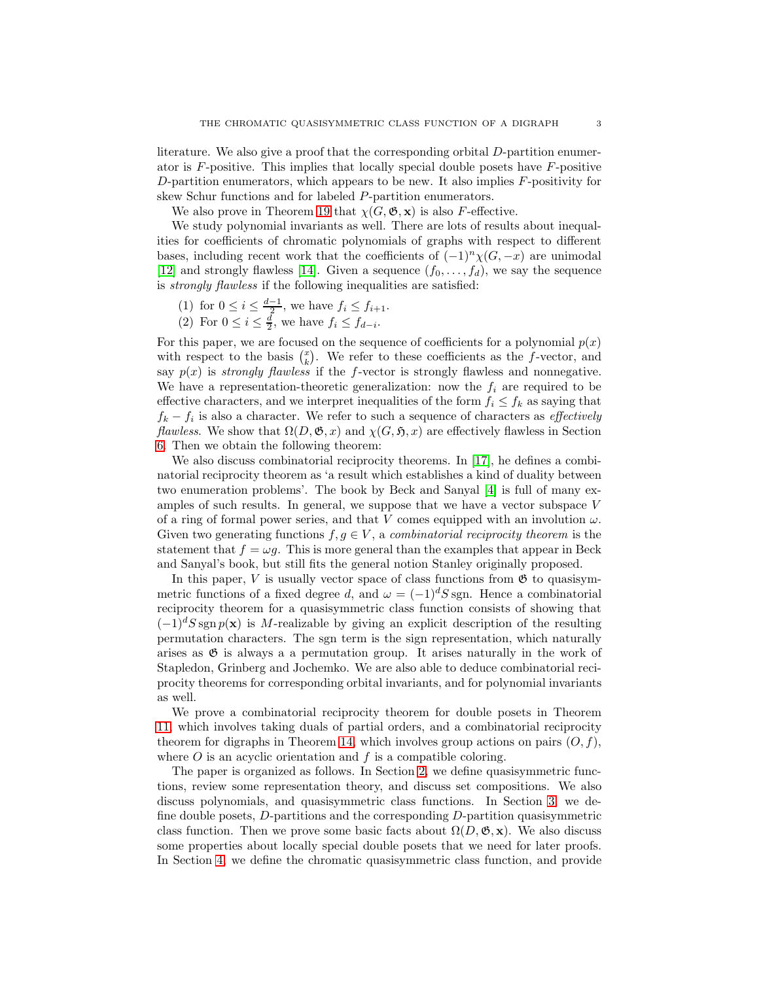literature. We also give a proof that the corresponding orbital D-partition enumerator is  $F$ -positive. This implies that locally special double posets have  $F$ -positive D-partition enumerators, which appears to be new. It also implies  $F$ -positivity for skew Schur functions and for labeled P-partition enumerators.

We also prove in Theorem [19](#page-19-0) that  $\chi(G, \mathfrak{G}, \mathbf{x})$  is also F-effective.

We study polynomial invariants as well. There are lots of results about inequalities for coefficients of chromatic polynomials of graphs with respect to different bases, including recent work that the coefficients of  $(-1)^n \chi(G, -x)$  are unimodal [\[12\]](#page-26-7) and strongly flawless [\[14\]](#page-26-8). Given a sequence  $(f_0, \ldots, f_d)$ , we say the sequence is strongly flawless if the following inequalities are satisfied:

- (1) for  $0 \leq i \leq \frac{d-1}{2}$ , we have  $f_i \leq f_{i+1}$ .
- (2) For  $0 \leq i \leq \frac{d}{2}$ , we have  $f_i \leq f_{d-i}$ .

For this paper, we are focused on the sequence of coefficients for a polynomial  $p(x)$ with respect to the basis  $\binom{x}{k}$ . We refer to these coefficients as the f-vector, and say  $p(x)$  is *strongly flawless* if the f-vector is strongly flawless and nonnegative. We have a representation-theoretic generalization: now the  $f_i$  are required to be effective characters, and we interpret inequalities of the form  $f_i \leq f_k$  as saying that  $f_k - f_i$  is also a character. We refer to such a sequence of characters as *effectively flawless.* We show that  $\Omega(D, \mathfrak{G}, x)$  and  $\chi(G, \mathfrak{H}, x)$  are effectively flawless in Section [6.](#page-17-0) Then we obtain the following theorem:

We also discuss combinatorial reciprocity theorems. In [\[17\]](#page-26-9), he defines a combinatorial reciprocity theorem as 'a result which establishes a kind of duality between two enumeration problems'. The book by Beck and Sanyal [\[4\]](#page-25-1) is full of many examples of such results. In general, we suppose that we have a vector subspace V of a ring of formal power series, and that V comes equipped with an involution  $\omega$ . Given two generating functions  $f, g \in V$ , a *combinatorial reciprocity theorem* is the statement that  $f = \omega g$ . This is more general than the examples that appear in Beck and Sanyal's book, but still fits the general notion Stanley originally proposed.

In this paper,  $V$  is usually vector space of class functions from  $\mathfrak{G}$  to quasisymmetric functions of a fixed degree d, and  $\omega = (-1)^d S$  sgn. Hence a combinatorial reciprocity theorem for a quasisymmetric class function consists of showing that  $(-1)^dS \operatorname{sgn} p(\mathbf{x})$  is M-realizable by giving an explicit description of the resulting permutation characters. The sgn term is the sign representation, which naturally arises as  $\mathfrak{G}$  is always a a permutation group. It arises naturally in the work of Stapledon, Grinberg and Jochemko. We are also able to deduce combinatorial reciprocity theorems for corresponding orbital invariants, and for polynomial invariants as well.

We prove a combinatorial reciprocity theorem for double posets in Theorem [11,](#page-15-0) which involves taking duals of partial orders, and a combinatorial reciprocity theorem for digraphs in Theorem [14,](#page-16-0) which involves group actions on pairs  $(O, f)$ , where  $O$  is an acyclic orientation and  $f$  is a compatible coloring.

The paper is organized as follows. In Section [2,](#page-3-0) we define quasisymmetric functions, review some representation theory, and discuss set compositions. We also discuss polynomials, and quasisymmetric class functions. In Section [3,](#page-8-0) we define double posets, D-partitions and the corresponding D-partition quasisymmetric class function. Then we prove some basic facts about  $\Omega(D, \mathfrak{G}, \mathbf{x})$ . We also discuss some properties about locally special double posets that we need for later proofs. In Section [4,](#page-12-0) we define the chromatic quasisymmetric class function, and provide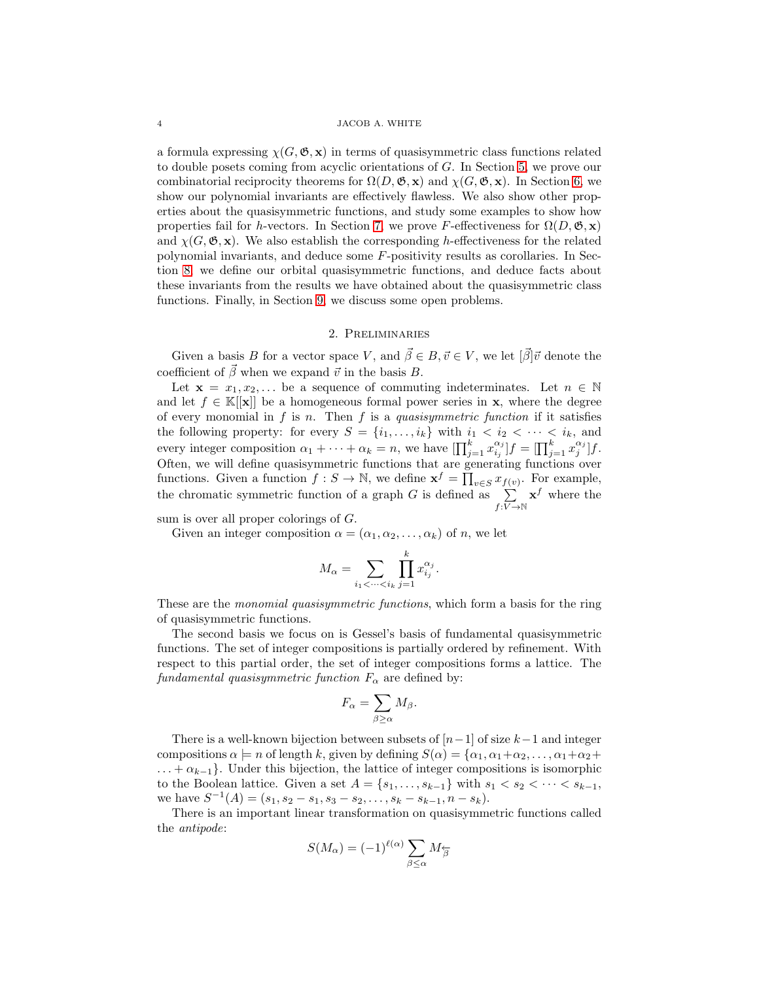a formula expressing  $\chi(G, \mathfrak{G}, \mathbf{x})$  in terms of quasisymmetric class functions related to double posets coming from acyclic orientations of G. In Section [5,](#page-14-0) we prove our combinatorial reciprocity theorems for  $\Omega(D, \mathfrak{G}, \mathbf{x})$  and  $\chi(G, \mathfrak{G}, \mathbf{x})$ . In Section [6,](#page-17-0) we show our polynomial invariants are effectively flawless. We also show other properties about the quasisymmetric functions, and study some examples to show how properties fail for h-vectors. In Section [7,](#page-18-1) we prove F-effectiveness for  $\Omega(D, \mathfrak{G}, \mathbf{x})$ and  $\chi(G, \mathfrak{G}, \mathbf{x})$ . We also establish the corresponding h-effectiveness for the related polynomial invariants, and deduce some F-positivity results as corollaries. In Section [8,](#page-21-0) we define our orbital quasisymmetric functions, and deduce facts about these invariants from the results we have obtained about the quasisymmetric class functions. Finally, in Section [9,](#page-25-2) we discuss some open problems.

# 2. Preliminaries

<span id="page-3-0"></span>Given a basis B for a vector space V, and  $\vec{\beta} \in B, \vec{v} \in V$ , we let  $[\vec{\beta}]\vec{v}$  denote the coefficient of  $\vec{\beta}$  when we expand  $\vec{v}$  in the basis B.

Let  $\mathbf{x} = x_1, x_2, \dots$  be a sequence of commuting indeterminates. Let  $n \in \mathbb{N}$ and let  $f \in \mathbb{K}[[\mathbf{x}]]$  be a homogeneous formal power series in **x**, where the degree of every monomial in  $f$  is  $n$ . Then  $f$  is a quasisymmetric function if it satisfies the following property: for every  $S = \{i_1, \ldots, i_k\}$  with  $i_1 < i_2 < \cdots < i_k$ , and every integer composition  $\alpha_1 + \cdots + \alpha_k = n$ , we have  $\left[\prod_{j=1}^k x_{i_j}^{\alpha_j}\right]$  ${}^{\alpha_j}_{i_j}$ ]  $f = [\prod_{j=1}^{k} x_j^{\alpha_j}] f.$ Often, we will define quasisymmetric functions that are generating functions over functions. Given a function  $f: S \to \mathbb{N}$ , we define  $\mathbf{x}^f = \prod_{v \in S} x_{f(v)}$ . For example, the chromatic symmetric function of a graph G is defined as  $\sum$  $f{:}\overline{V}{\rightarrow}{\mathbb N}$  $\mathbf{x}^{f}$  where the

sum is over all proper colorings of G.

Given an integer composition  $\alpha = (\alpha_1, \alpha_2, \ldots, \alpha_k)$  of n, we let

$$
M_{\alpha} = \sum_{i_1 < \dots < i_k} \prod_{j=1}^k x_{i_j}^{\alpha_j}.
$$

These are the *monomial quasisymmetric functions*, which form a basis for the ring of quasisymmetric functions.

The second basis we focus on is Gessel's basis of fundamental quasisymmetric functions. The set of integer compositions is partially ordered by refinement. With respect to this partial order, the set of integer compositions forms a lattice. The fundamental quasisymmetric function  $F_{\alpha}$  are defined by:

$$
F_{\alpha} = \sum_{\beta \geq \alpha} M_{\beta}.
$$

There is a well-known bijection between subsets of  $[n-1]$  of size  $k-1$  and integer compositions  $\alpha \models n$  of length k, given by defining  $S(\alpha) = {\alpha_1, \alpha_1 + \alpha_2, \dots, \alpha_1 + \alpha_2 + \alpha_2}$  $\dots + \alpha_{k-1}$ . Under this bijection, the lattice of integer compositions is isomorphic to the Boolean lattice. Given a set  $A = \{s_1, \ldots, s_{k-1}\}$  with  $s_1 < s_2 < \cdots < s_{k-1}$ , we have  $S^{-1}(A) = (s_1, s_2 - s_1, s_3 - s_2, \ldots, s_k - s_{k-1}, n - s_k).$ 

There is an important linear transformation on quasisymmetric functions called the antipode:

$$
S(M_{\alpha}) = (-1)^{\ell(\alpha)} \sum_{\beta \leq \alpha} M_{\overline{\beta}}
$$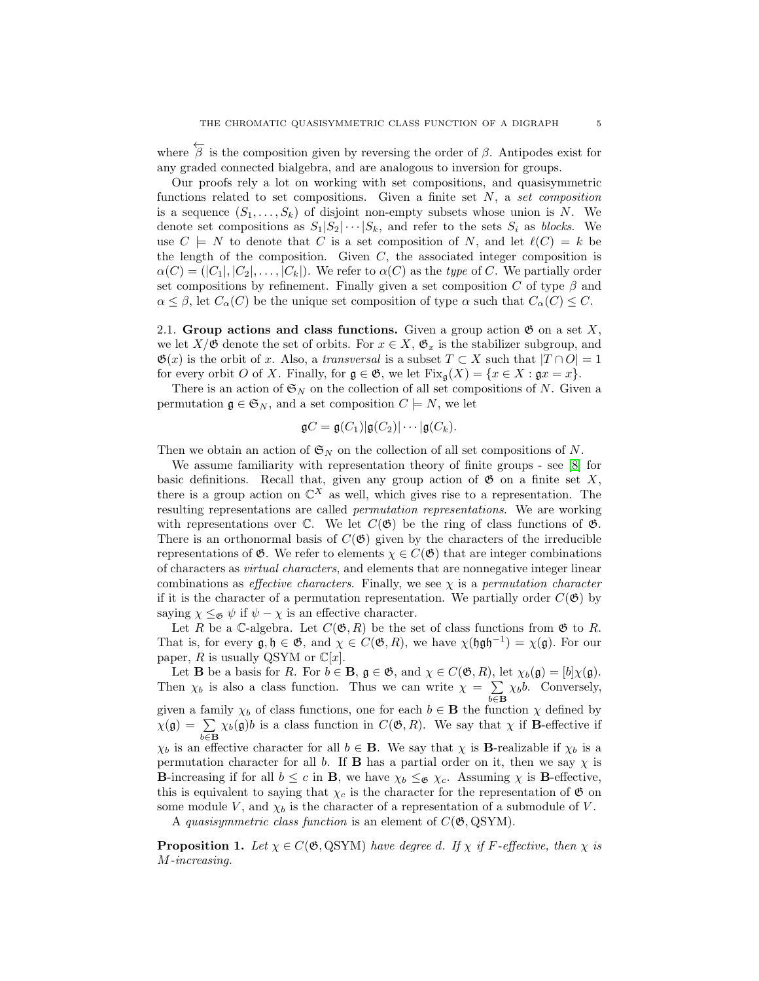where  $\overline{\beta}$  is the composition given by reversing the order of  $\beta$ . Antipodes exist for any graded connected bialgebra, and are analogous to inversion for groups.

Our proofs rely a lot on working with set compositions, and quasisymmetric functions related to set compositions. Given a finite set  $N$ , a set composition is a sequence  $(S_1, \ldots, S_k)$  of disjoint non-empty subsets whose union is N. We denote set compositions as  $S_1|S_2|\cdots|S_k$ , and refer to the sets  $S_i$  as blocks. We use  $C \models N$  to denote that C is a set composition of N, and let  $\ell(C) = k$  be the length of the composition. Given  $C$ , the associated integer composition is  $\alpha(C) = (|C_1|, |C_2|, \ldots, |C_k|)$ . We refer to  $\alpha(C)$  as the type of C. We partially order set compositions by refinement. Finally given a set composition C of type  $\beta$  and  $\alpha \leq \beta$ , let  $C_{\alpha}(C)$  be the unique set composition of type  $\alpha$  such that  $C_{\alpha}(C) \leq C$ .

2.1. Group actions and class functions. Given a group action  $\mathfrak{G}$  on a set X, we let  $X/\mathfrak{G}$  denote the set of orbits. For  $x \in X$ ,  $\mathfrak{G}_x$  is the stabilizer subgroup, and  $\mathfrak{G}(x)$  is the orbit of x. Also, a transversal is a subset  $T \subset X$  such that  $|T \cap O| = 1$ for every orbit O of X. Finally, for  $\mathfrak{g} \in \mathfrak{G}$ , we let  $\text{Fix}_{\mathfrak{g}}(X) = \{x \in X : \mathfrak{g}x = x\}.$ 

There is an action of  $\mathfrak{S}_N$  on the collection of all set compositions of N. Given a permutation  $\mathfrak{g} \in \mathfrak{S}_N$ , and a set composition  $C \models N$ , we let

$$
\mathfrak{g}C = \mathfrak{g}(C_1)|\mathfrak{g}(C_2)|\cdots|\mathfrak{g}(C_k).
$$

Then we obtain an action of  $\mathfrak{S}_N$  on the collection of all set compositions of N.

We assume familiarity with representation theory of finite groups - see [\[8\]](#page-26-10) for basic definitions. Recall that, given any group action of  $\mathfrak G$  on a finite set X, there is a group action on  $\mathbb{C}^X$  as well, which gives rise to a representation. The resulting representations are called permutation representations. We are working with representations over  $\mathbb C$ . We let  $C(\mathfrak G)$  be the ring of class functions of  $\mathfrak G$ . There is an orthonormal basis of  $C(\mathfrak{G})$  given by the characters of the irreducible representations of  $\mathfrak{G}$ . We refer to elements  $\chi \in C(\mathfrak{G})$  that are integer combinations of characters as virtual characters, and elements that are nonnegative integer linear combinations as *effective characters*. Finally, we see  $\chi$  is a *permutation character* if it is the character of a permutation representation. We partially order  $C(\mathfrak{G})$  by saying  $\chi \leq_{\mathfrak{G}} \psi$  if  $\psi - \chi$  is an effective character.

Let R be a C-algebra. Let  $C(\mathfrak{G}, R)$  be the set of class functions from  $\mathfrak{G}$  to R. That is, for every  $\mathfrak{g}, \mathfrak{h} \in \mathfrak{G}$ , and  $\chi \in C(\mathfrak{G}, R)$ , we have  $\chi(\mathfrak{h}\mathfrak{g}\mathfrak{h}^{-1}) = \chi(\mathfrak{g})$ . For our paper, R is usually QSYM or  $\mathbb{C}[x]$ .

Let **B** be a basis for R. For  $b \in \mathbf{B}$ ,  $\mathfrak{g} \in \mathfrak{G}$ , and  $\chi \in C(\mathfrak{G}, R)$ , let  $\chi_b(\mathfrak{g}) = [b]\chi(\mathfrak{g})$ . Then  $\chi_b$  is also a class function. Thus we can write  $\chi = \sum$  $\sum_{b\in \mathbf{B}} \chi_b b$ . Conversely, given a family  $\chi_b$  of class functions, one for each  $b \in \mathbf{B}$  the function  $\chi$  defined by  $\chi(\mathfrak{g}) = \sum$  $\sum_{b \in \mathbf{B}} \chi_b(\mathfrak{g})b$  is a class function in  $C(\mathfrak{G}, R)$ . We say that  $\chi$  if **B**-effective if  $\chi_b$  is an effective character for all  $b \in \mathbf{B}$ . We say that  $\chi$  is **B**-realizable if  $\chi_b$  is a permutation character for all b. If **B** has a partial order on it, then we say  $\chi$  is **B**-increasing if for all  $b \leq c$  in **B**, we have  $\chi_b \leq \sigma \chi_c$ . Assuming  $\chi$  is **B**-effective, this is equivalent to saying that  $\chi_c$  is the character for the representation of  $\mathfrak G$  on some module V, and  $\chi_b$  is the character of a representation of a submodule of V.

A quasisymmetric class function is an element of  $C(\mathfrak{G}, \mathrm{QSYM})$ .

**Proposition 1.** Let  $\chi \in C(\mathfrak{G}, \mathrm{QSYM})$  have degree d. If  $\chi$  if F-effective, then  $\chi$  is M-increasing.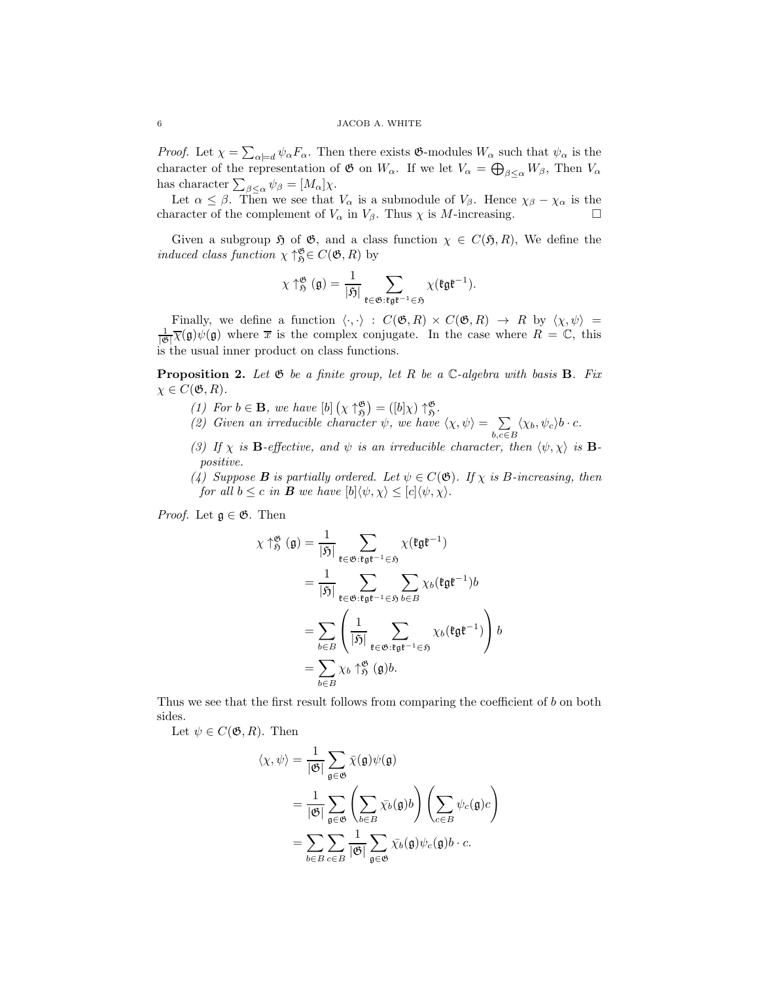*Proof.* Let  $\chi = \sum_{\alpha \models d} \psi_{\alpha} F_{\alpha}$ . Then there exists **&**-modules  $W_{\alpha}$  such that  $\psi_{\alpha}$  is the character of the representation of  $\mathfrak G$  on  $W_\alpha$ . If we let  $V_\alpha = \bigoplus_{\beta \leq \alpha} W_\beta$ , Then  $V_\alpha$ has character  $\sum_{\beta \leq \alpha} \psi_{\beta} = [M_{\alpha}] \chi.$ 

Let  $\alpha \leq \beta$ . Then we see that  $V_{\alpha}$  is a submodule of  $V_{\beta}$ . Hence  $\chi_{\beta} - \chi_{\alpha}$  is the character of the complement of  $V_{\alpha}$  in  $V_{\beta}$ . Thus  $\chi$  is *M*-increasing.

Given a subgroup  $\mathfrak H$  of  $\mathfrak G$ , and a class function  $\chi \in C(\mathfrak H,R)$ , We define the *induced class function*  $\chi \uparrow_{\mathfrak{H}}^{\mathfrak{G}} \in C(\mathfrak{G},R)$  by

$$
\chi \uparrow_{\mathfrak{H}}^{\mathfrak{G}} (\mathfrak{g}) = \frac{1}{|\mathfrak{H}|} \sum_{\mathfrak{k} \in \mathfrak{G}: \mathfrak{k} \mathfrak{g} \mathfrak{k}^{-1} \in \mathfrak{H}} \chi(\mathfrak{k} \mathfrak{g} \mathfrak{k}^{-1}).
$$

Finally, we define a function  $\langle \cdot, \cdot \rangle : C(\mathfrak{G}, R) \times C(\mathfrak{G}, R) \to R$  by  $\langle \chi, \psi \rangle =$  $\frac{1}{|\mathfrak{G}|}\overline{\chi}(\mathfrak{g})\psi(\mathfrak{g})$  where  $\overline{x}$  is the complex conjugate. In the case where  $R = \mathbb{C}$ , this is the usual inner product on class functions.

<span id="page-5-0"></span>**Proposition 2.** Let  $\mathfrak{G}$  be a finite group, let R be a  $\mathbb{C}$ -algebra with basis **B**. Fix  $\chi \in C(\mathfrak{G},R).$ 

- (1) For  $b \in \mathbf{B}$ , we have  $[b]$   $(\chi \uparrow_{\mathfrak{H}}^{\mathfrak{G}}) = ([b] \chi) \uparrow_{\mathfrak{H}}^{\mathfrak{G}}$ .
- (2) Given an irreducible character  $\psi$ , we have  $\langle \chi, \psi \rangle = \sum$  $\sum_{b,c\in B} \langle \chi_b,\psi_c\rangle b\cdot c.$
- <span id="page-5-1"></span>(3) If  $\chi$  is **B**-effective, and  $\psi$  is an irreducible character, then  $\langle \psi, \chi \rangle$  is **B**positive.
- <span id="page-5-2"></span>(4) Suppose **B** is partially ordered. Let  $\psi \in C(\mathfrak{G})$ . If  $\chi$  is B-increasing, then for all  $b \leq c$  in **B** we have  $[b]\langle \psi, \chi \rangle \leq [c]\langle \psi, \chi \rangle$ .

*Proof.* Let  $\mathfrak{g} \in \mathfrak{G}$ . Then

$$
\chi \uparrow_{\mathfrak{H}}^{\mathfrak{G}}(\mathfrak{g}) = \frac{1}{|\mathfrak{H}|} \sum_{\mathfrak{k} \in \mathfrak{G} : \mathfrak{k} \mathfrak{g} \mathfrak{k}^{-1} \in \mathfrak{H}} \chi(\mathfrak{k} \mathfrak{g} \mathfrak{k}^{-1})
$$
  
\n
$$
= \frac{1}{|\mathfrak{H}|} \sum_{\mathfrak{k} \in \mathfrak{G} : \mathfrak{k} \mathfrak{g} \mathfrak{k}^{-1} \in \mathfrak{H}} \sum_{b \in B} \chi_b(\mathfrak{k} \mathfrak{g} \mathfrak{k}^{-1}) b
$$
  
\n
$$
= \sum_{b \in B} \left( \frac{1}{|\mathfrak{H}|} \sum_{\mathfrak{k} \in \mathfrak{G} : \mathfrak{k} \mathfrak{g} \mathfrak{k}^{-1} \in \mathfrak{H}} \chi_b(\mathfrak{k} \mathfrak{g} \mathfrak{k}^{-1}) \right) b
$$
  
\n
$$
= \sum_{b \in B} \chi_b \uparrow_{\mathfrak{H}}^{\mathfrak{G}}(\mathfrak{g}) b.
$$

Thus we see that the first result follows from comparing the coefficient of b on both sides.

Let  $\psi \in C(\mathfrak{G},R)$ . Then

$$
\langle \chi, \psi \rangle = \frac{1}{|\mathfrak{G}|} \sum_{\mathfrak{g} \in \mathfrak{G}} \bar{\chi}(\mathfrak{g}) \psi(\mathfrak{g})
$$
  
= 
$$
\frac{1}{|\mathfrak{G}|} \sum_{\mathfrak{g} \in \mathfrak{G}} \left( \sum_{b \in B} \bar{\chi}_b(\mathfrak{g}) b \right) \left( \sum_{c \in B} \psi_c(\mathfrak{g}) c \right)
$$
  
= 
$$
\sum_{b \in B} \sum_{c \in B} \frac{1}{|\mathfrak{G}|} \sum_{\mathfrak{g} \in \mathfrak{G}} \bar{\chi}_b(\mathfrak{g}) \psi_c(\mathfrak{g}) b \cdot c.
$$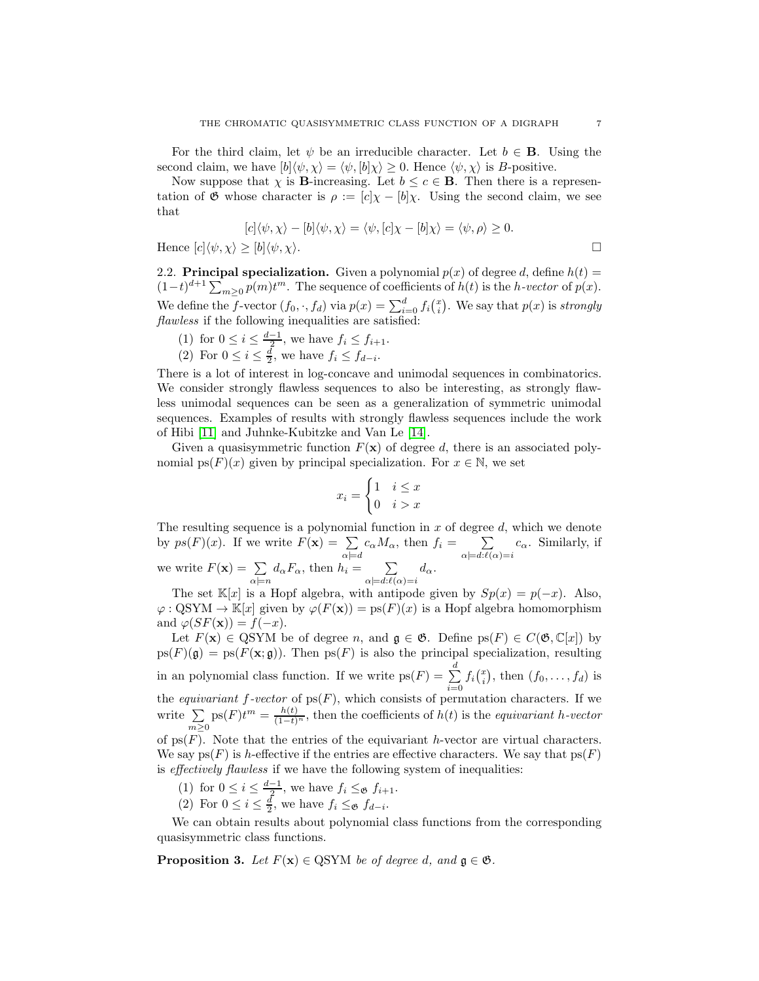For the third claim, let  $\psi$  be an irreducible character. Let  $b \in \mathbf{B}$ . Using the second claim, we have  $[b]\langle \psi, \chi \rangle = \langle \psi, [b] \chi \rangle \ge 0$ . Hence  $\langle \psi, \chi \rangle$  is B-positive.

Now suppose that  $\chi$  is **B**-increasing. Let  $b \leq c \in \mathbf{B}$ . Then there is a representation of  $\mathfrak G$  whose character is  $\rho := [c] \chi - [b] \chi$ . Using the second claim, we see that

$$
[c] \langle \psi, \chi \rangle - [b] \langle \psi, \chi \rangle = \langle \psi, [c] \chi - [b] \chi \rangle = \langle \psi, \rho \rangle \ge 0.
$$
  
Hence 
$$
[c] \langle \psi, \chi \rangle \ge [b] \langle \psi, \chi \rangle.
$$

2.2. Principal specialization. Given a polynomial  $p(x)$  of degree d, define  $h(t) =$  $(1-t)^{d+1} \sum_{m\geq 0} p(m)t^m$ . The sequence of coefficients of  $h(t)$  is the h-vector of  $p(x)$ . We define the f-vector  $(f_0, \cdot, f_d)$  via  $p(x) = \sum_{i=0}^d f_i(\frac{x}{i})$ . We say that  $p(x)$  is *strongly* flawless if the following inequalities are satisfied:

- (1) for  $0 \le i \le \frac{d-1}{2}$ , we have  $f_i \le f_{i+1}$ .
- (2) For  $0 \leq i \leq \frac{d}{2}$ , we have  $f_i \leq f_{d-i}$ .

There is a lot of interest in log-concave and unimodal sequences in combinatorics. We consider strongly flawless sequences to also be interesting, as strongly flawless unimodal sequences can be seen as a generalization of symmetric unimodal sequences. Examples of results with strongly flawless sequences include the work of Hibi [\[11\]](#page-26-11) and Juhnke-Kubitzke and Van Le [\[14\]](#page-26-8).

Given a quasisymmetric function  $F(\mathbf{x})$  of degree d, there is an associated polynomial ps( $F(x)$ ) given by principal specialization. For  $x \in \mathbb{N}$ , we set

$$
x_i = \begin{cases} 1 & i \le x \\ 0 & i > x \end{cases}
$$

The resulting sequence is a polynomial function in  $x$  of degree  $d$ , which we denote by  $ps(F)(x)$ . If we write  $F(\mathbf{x}) = \sum$  $\alpha$ |= $d$  $c_{\alpha}M_{\alpha}$ , then  $f_i = \sum$  $\alpha = d:\ell(\alpha) = i$  $c_{\alpha}$ . Similarly, if we write  $F(\mathbf{x}) = \sum$  $\alpha = n$  $d_{\alpha}F_{\alpha}$ , then  $h_i = \sum$  $\alpha = d:\ell(\alpha) = i$  $d_{\alpha}$ .

The set K[x] is a Hopf algebra, with antipode given by  $Sp(x) = p(-x)$ . Also,  $\varphi$ : QSYM  $\rightarrow \mathbb{K}[x]$  given by  $\varphi(F(\mathbf{x})) = \text{ps}(F)(x)$  is a Hopf algebra homomorphism and  $\varphi(SF(\mathbf{x})) = f(-x)$ .

Let  $F(\mathbf{x}) \in \Omega$ SYM be of degree n, and  $\mathfrak{g} \in \mathfrak{G}$ . Define ps $(F) \in C(\mathfrak{G}, \mathbb{C}[x])$  by  $ps(F)(\mathfrak{g}) = ps(F(\mathbf{x}; \mathfrak{g}))$ . Then  $ps(F)$  is also the principal specialization, resulting in an polynomial class function. If we write  $ps(F) = \sum^{d}$  $\sum_{i=0}^{\infty} f_i\binom{x}{i}$ , then  $(f_0, \ldots, f_d)$  is the *equivariant f-vector* of  $ps(F)$ , which consists of permutation characters. If we write  $\Sigma$  $m \geq 0$  $ps(F)t^m = \frac{h(t)}{(1-t)^n}$ , then the coefficients of  $h(t)$  is the equivariant h-vector of  $ps(F)$ . Note that the entries of the equivariant h-vector are virtual characters. We say ps(F) is h-effective if the entries are effective characters. We say that  $ps(F)$ 

is effectively flawless if we have the following system of inequalities:

- (1) for  $0 \leq i \leq \frac{d-1}{2}$ , we have  $f_i \leq_{\mathfrak{G}} f_{i+1}$ .
- (2) For  $0 \leq i \leq \frac{d}{2}$ , we have  $f_i \leq \mathfrak{s}$   $f_{d-i}$ .

We can obtain results about polynomial class functions from the corresponding quasisymmetric class functions.

<span id="page-6-0"></span>**Proposition 3.** Let  $F(\mathbf{x}) \in \text{QSYM}$  be of degree d, and  $\mathfrak{g} \in \mathfrak{G}$ .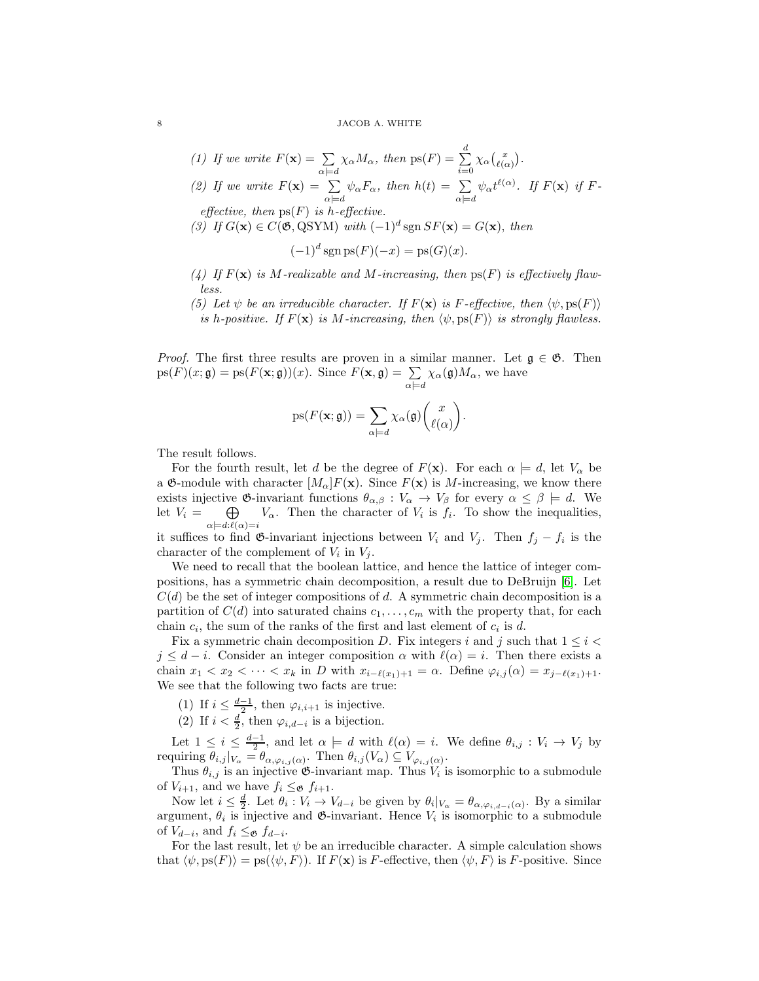- <span id="page-7-1"></span>(1) If we write  $F(\mathbf{x}) = \sum$  $\alpha \models d$  $\chi_{\alpha} M_{\alpha}$ , then  $\text{ps}(F) = \sum_{\alpha}^{d}$  $\sum_{i=0}^{\infty} \chi_{\alpha} {x \choose \ell(\alpha)}.$ (2) If we write  $F(\mathbf{x}) = \sum$  $\alpha \models d$  $\psi_{\alpha}F_{\alpha}$ , then  $h(t) = \sum$  $\alpha = d$  $\psi_\alpha t^{\ell(\alpha)}$ . If  $F(\mathbf{x})$  if  $F$ effective, then  $ps(F)$  is h-effective. (3) If  $G(\mathbf{x}) \in C(\mathfrak{G}, \text{QSYM})$  with  $(-1)^d \text{sgn} SF(\mathbf{x}) = G(\mathbf{x})$ , then  $(-1)^d$  sgn ps $(F)(-x) =$  ps $(G)(x)$ .
- <span id="page-7-2"></span><span id="page-7-0"></span>(4) If  $F(\mathbf{x})$  is M-realizable and M-increasing, then  $ps(F)$  is effectively flawless.
- (5) Let  $\psi$  be an irreducible character. If  $F(\mathbf{x})$  is F-effective, then  $\langle \psi, \mathrm{ps}(F) \rangle$ is h-positive. If  $F(\mathbf{x})$  is M-increasing, then  $\langle \psi, \mathrm{ps}(F) \rangle$  is strongly flawless.

*Proof.* The first three results are proven in a similar manner. Let  $\mathfrak{g} \in \mathfrak{G}$ . Then  $ps(F)(x; \mathfrak{g}) = ps(F(\mathbf{x}; \mathfrak{g}))(x)$ . Since  $F(\mathbf{x}; \mathfrak{g}) = \sum$  $\alpha \models d$  $\chi_{\alpha}(\mathfrak{g})M_{\alpha}$ , we have

$$
\mathrm{ps}(F(\mathbf{x};\mathfrak{g})) = \sum_{\alpha \models d} \chi_{\alpha}(\mathfrak{g}) \binom{x}{\ell(\alpha)}.
$$

The result follows.

For the fourth result, let d be the degree of  $F(\mathbf{x})$ . For each  $\alpha \models d$ , let  $V_{\alpha}$  be a  $\mathfrak{G}\text{-module with character }[M_{\alpha}]F(\mathbf{x})$ . Since  $F(\mathbf{x})$  is M-increasing, we know there exists injective  $\mathfrak{G}$ -invariant functions  $\theta_{\alpha,\beta}: V_{\alpha} \to V_{\beta}$  for every  $\alpha \leq \beta \models d$ . We let  $V_i =$  $\oplus$  $\alpha = d:\ell(\alpha) = i$  $V_{\alpha}$ . Then the character of  $V_i$  is  $f_i$ . To show the inequalities,

it suffices to find  $\mathfrak{G}$ -invariant injections between  $V_i$  and  $V_j$ . Then  $f_j - f_i$  is the character of the complement of  $V_i$  in  $V_j$ .

We need to recall that the boolean lattice, and hence the lattice of integer compositions, has a symmetric chain decomposition, a result due to DeBruijn [\[6\]](#page-25-3). Let  $C(d)$  be the set of integer compositions of d. A symmetric chain decomposition is a partition of  $C(d)$  into saturated chains  $c_1, \ldots, c_m$  with the property that, for each chain  $c_i$ , the sum of the ranks of the first and last element of  $c_i$  is d.

Fix a symmetric chain decomposition D. Fix integers i and j such that  $1 \leq i$  $j \leq d - i$ . Consider an integer composition  $\alpha$  with  $\ell(\alpha) = i$ . Then there exists a chain  $x_1 < x_2 < \cdots < x_k$  in D with  $x_{i-\ell(x_1)+1} = \alpha$ . Define  $\varphi_{i,j}(\alpha) = x_{j-\ell(x_1)+1}$ . We see that the following two facts are true:

- (1) If  $i \leq \frac{d-1}{2}$ , then  $\varphi_{i,i+1}$  is injective.
- (2) If  $i < \frac{d}{2}$ , then  $\varphi_{i,d-i}$  is a bijection.

Let  $1 \leq i \leq \frac{d-1}{2}$ , and let  $\alpha \models d$  with  $\ell(\alpha) = i$ . We define  $\theta_{i,j} : V_i \to V_j$  by requiring  $\theta_{i,j}|_{V_{\alpha}} = \theta_{\alpha,\varphi_{i,j}(\alpha)}$ . Then  $\theta_{i,j}(V_{\alpha}) \subseteq V_{\varphi_{i,j}(\alpha)}$ .

Thus  $\theta_{i,j}$  is an injective  $\mathfrak{G}$ -invariant map. Thus  $V_i$  is isomorphic to a submodule of  $V_{i+1}$ , and we have  $f_i \leq \mathfrak{s}$   $f_{i+1}$ .

Now let  $i \leq \frac{d}{2}$ . Let  $\theta_i : V_i \to V_{d-i}$  be given by  $\theta_i|_{V_\alpha} = \theta_{\alpha, \varphi_{i,d-i}(\alpha)}$ . By a similar argument,  $\theta_i$  is injective and  $\mathfrak{G}$ -invariant. Hence  $V_i$  is isomorphic to a submodule of  $V_{d-i}$ , and  $f_i \leq_{\mathfrak{G}} f_{d-i}$ .

For the last result, let  $\psi$  be an irreducible character. A simple calculation shows that  $\langle \psi, \mathrm{ps}(F) \rangle = \mathrm{ps}(\langle \psi, F \rangle)$ . If  $F(\mathbf{x})$  is F-effective, then  $\langle \psi, F \rangle$  is F-positive. Since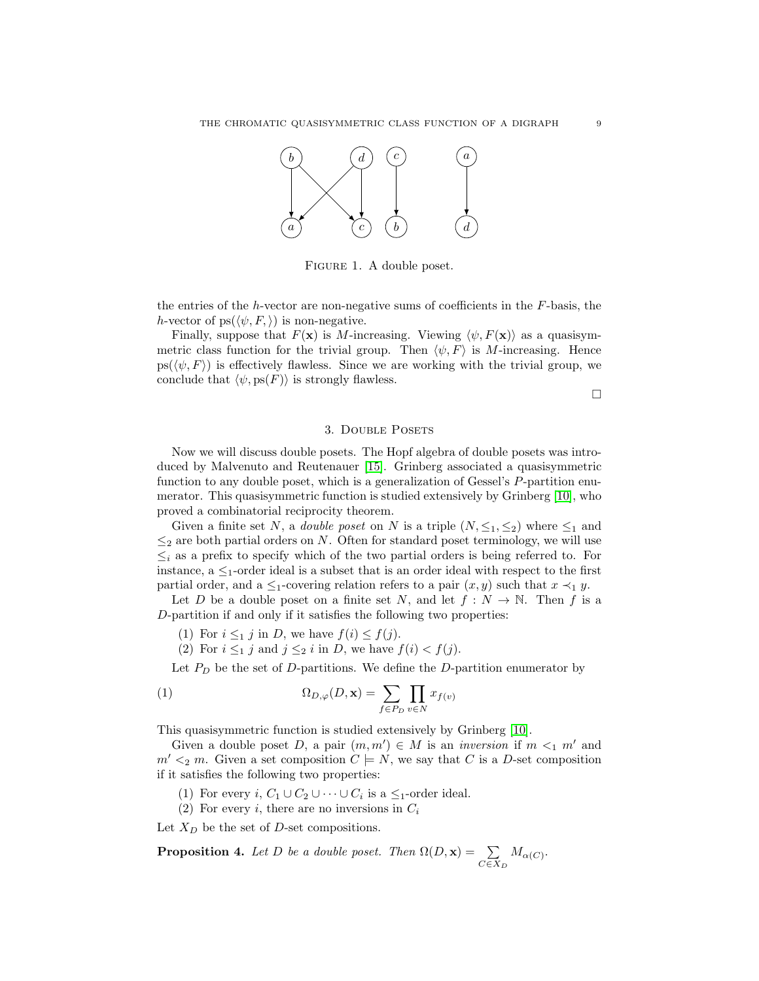

Figure 1. A double poset.

the entries of the h-vector are non-negative sums of coefficients in the F-basis, the h-vector of ps $(\langle \psi, F, \rangle)$  is non-negative.

Finally, suppose that  $F(\mathbf{x})$  is M-increasing. Viewing  $\langle \psi, F(\mathbf{x}) \rangle$  as a quasisymmetric class function for the trivial group. Then  $\langle \psi, F \rangle$  is M-increasing. Hence  $ps(\langle \psi, F \rangle)$  is effectively flawless. Since we are working with the trivial group, we conclude that  $\langle \psi, \text{ps}(F) \rangle$  is strongly flawless.

 $\Box$ 

# 3. DOUBLE POSETS

<span id="page-8-0"></span>Now we will discuss double posets. The Hopf algebra of double posets was introduced by Malvenuto and Reutenauer [\[15\]](#page-26-12). Grinberg associated a quasisymmetric function to any double poset, which is a generalization of Gessel's P-partition enumerator. This quasisymmetric function is studied extensively by Grinberg [\[10\]](#page-26-1), who proved a combinatorial reciprocity theorem.

Given a finite set N, a *double poset* on N is a triple  $(N, \leq_1, \leq_2)$  where  $\leq_1$  and  $\leq_2$  are both partial orders on N. Often for standard poset terminology, we will use  $\leq_i$  as a prefix to specify which of the two partial orders is being referred to. For instance, a  $\leq_1$ -order ideal is a subset that is an order ideal with respect to the first partial order, and a  $\leq_1$ -covering relation refers to a pair  $(x, y)$  such that  $x \prec_1 y$ .

Let D be a double poset on a finite set N, and let  $f : N \to \mathbb{N}$ . Then f is a D-partition if and only if it satisfies the following two properties:

- (1) For  $i \leq_1 j$  in D, we have  $f(i) \leq f(j)$ .
- (2) For  $i \leq_1 j$  and  $j \leq_2 i$  in D, we have  $f(i) < f(j)$ .

Let  $P_D$  be the set of D-partitions. We define the D-partition enumerator by

(1) 
$$
\Omega_{D,\varphi}(D,\mathbf{x}) = \sum_{f \in P_D} \prod_{v \in N} x_{f(v)}
$$

This quasisymmetric function is studied extensively by Grinberg [\[10\]](#page-26-1).

Given a double poset D, a pair  $(m, m') \in M$  is an *inversion* if  $m \leq_1 m'$  and  $m' \leq_2 m$ . Given a set composition  $C \models N$ , we say that C is a D-set composition if it satisfies the following two properties:

(1) For every  $i, C_1 \cup C_2 \cup \cdots \cup C_i$  is a  $\leq_1$ -order ideal.

(2) For every i, there are no inversions in  $C_i$ 

Let  $X_D$  be the set of D-set compositions.

**Proposition 4.** Let D be a double poset. Then 
$$
\Omega(D, \mathbf{x}) = \sum_{C \in X_D} M_{\alpha(C)}
$$
.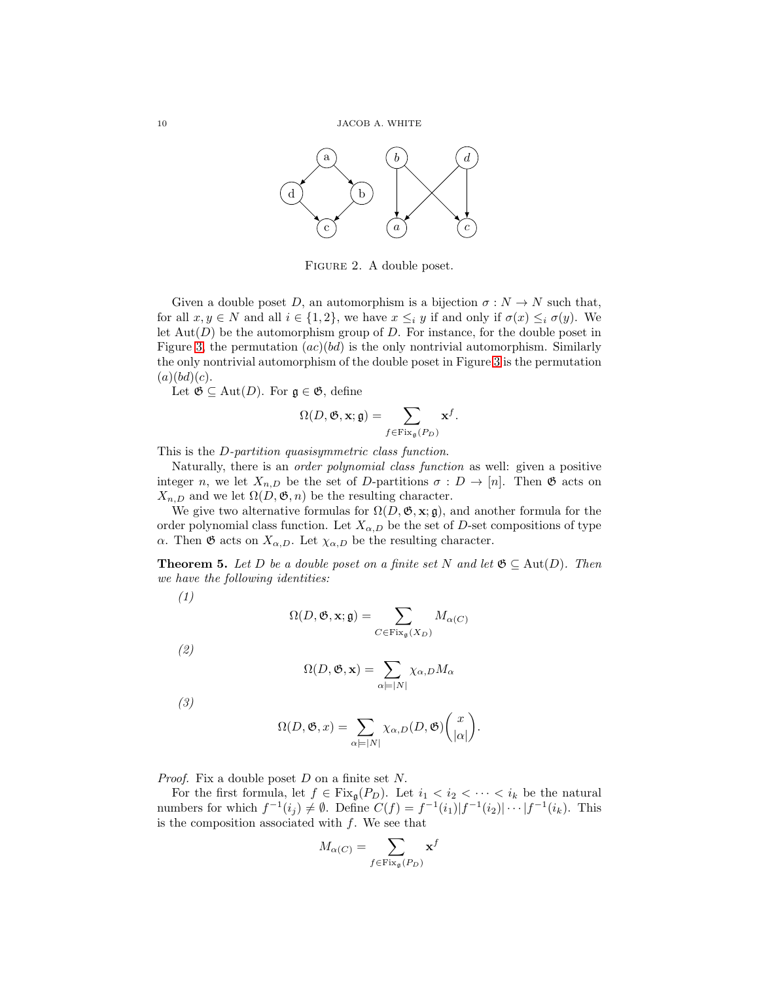

Figure 2. A double poset.

Given a double poset D, an automorphism is a bijection  $\sigma : N \to N$  such that, for all  $x, y \in N$  and all  $i \in \{1, 2\}$ , we have  $x \leq_i y$  if and only if  $\sigma(x) \leq_i \sigma(y)$ . We let  $Aut(D)$  be the automorphism group of D. For instance, for the double poset in Figure [3,](#page-8-0) the permutation  $(ac)(bd)$  is the only nontrivial automorphism. Similarly the only nontrivial automorphism of the double poset in Figure [3](#page-9-0) is the permutation  $(a)(bd)(c).$ 

Let  $\mathfrak{G} \subseteq \text{Aut}(D)$ . For  $\mathfrak{g} \in \mathfrak{G}$ , define

$$
\Omega(D, \mathfrak{G}, \mathbf{x}; \mathfrak{g}) = \sum_{f \in \mathrm{Fix}_{\mathfrak{g}}(P_D)} \mathbf{x}^f.
$$

This is the D-partition quasisymmetric class function.

Naturally, there is an order polynomial class function as well: given a positive integer n, we let  $X_{n,D}$  be the set of D-partitions  $\sigma : D \to [n]$ . Then  $\mathfrak{G}$  acts on  $X_{n,D}$  and we let  $\Omega(D,\mathfrak{G},n)$  be the resulting character.

We give two alternative formulas for  $\Omega(D, \mathfrak{G}, \mathbf{x}; \mathfrak{g})$ , and another formula for the order polynomial class function. Let  $X_{\alpha,D}$  be the set of D-set compositions of type α. Then  $\mathfrak G$  acts on  $X_{\alpha,D}$ . Let  $\chi_{\alpha,D}$  be the resulting character.

**Theorem 5.** Let D be a double poset on a finite set N and let  $\mathfrak{G} \subseteq \text{Aut}(D)$ . Then we have the following identities:

(1)

$$
\Omega(D, \mathfrak{G}, \mathbf{x}; \mathfrak{g}) = \sum_{C \in \text{Fix}_{\mathfrak{g}}(X_D)} M_{\alpha(C)}
$$

(2)

$$
\Omega(D, \mathfrak{G}, \mathbf{x}) = \sum_{\alpha \models |N|} \chi_{\alpha, D} M_{\alpha}
$$

<span id="page-9-0"></span>(3)

$$
\Omega(D, \mathfrak{G}, x) = \sum_{\alpha \models |N|} \chi_{\alpha,D}(D, \mathfrak{G}) \binom{x}{|\alpha|}.
$$

Proof. Fix a double poset D on a finite set N.

For the first formula, let  $f \in Fix_{\mathfrak{g}}(P_D)$ . Let  $i_1 < i_2 < \cdots < i_k$  be the natural numbers for which  $f^{-1}(i_j) \neq \emptyset$ . Define  $C(f) = f^{-1}(i_1) | f^{-1}(i_2) | \cdots | f^{-1}(i_k)$ . This is the composition associated with  $f$ . We see that

$$
M_{\alpha(C)} = \sum_{f \in \text{Fix}_{\mathfrak{g}}(P_D)} \mathbf{x}^f
$$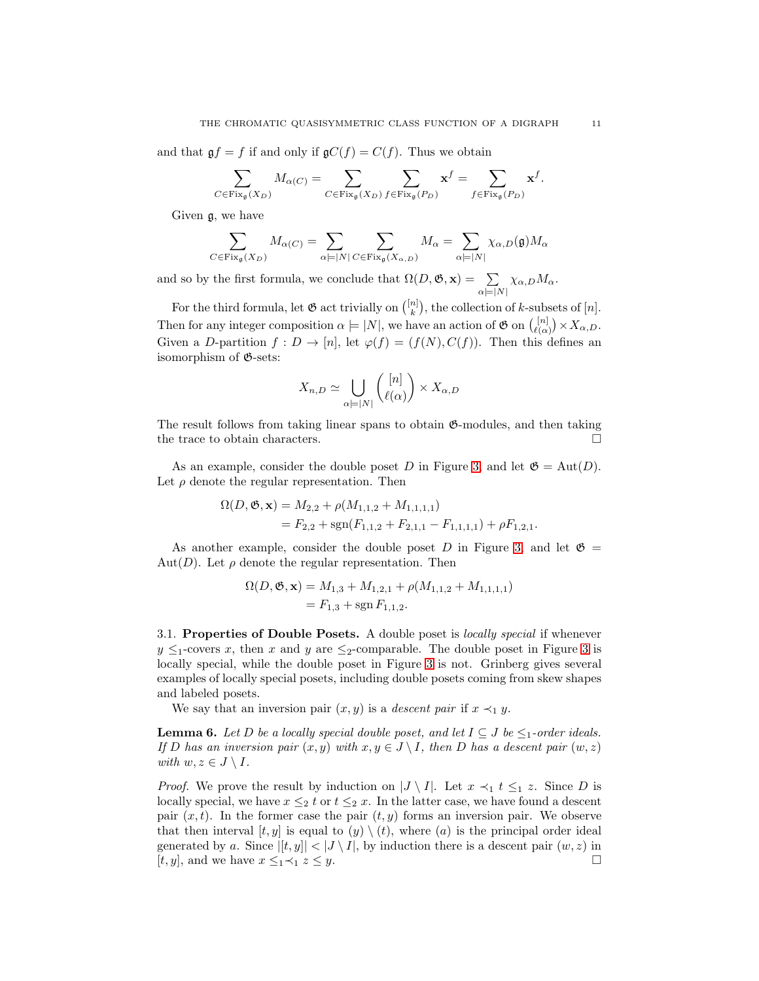and that  $\mathfrak{g} f = f$  if and only if  $\mathfrak{g} C(f) = C(f)$ . Thus we obtain

$$
\sum_{C\in \mathrm{Fix}_\mathfrak{g}(X_D)}M_{\alpha(C)}=\sum_{C\in \mathrm{Fix}_\mathfrak{g}(X_D)}\sum_{f\in \mathrm{Fix}_\mathfrak{g}(P_D)}\mathbf{x}^f=\sum_{f\in \mathrm{Fix}_\mathfrak{g}(P_D)}\mathbf{x}^f.
$$

Given g, we have

$$
\sum_{C \in \mathrm{Fix}_\mathfrak{g}(X_D)} M_{\alpha(C)} = \sum_{\alpha \models |N|} \sum_{C \in \mathrm{Fix}_\mathfrak{g}(X_{\alpha,D})} M_\alpha = \sum_{\alpha \models |N|} \chi_{\alpha,D}(\mathfrak{g}) M_\alpha
$$

and so by the first formula, we conclude that  $\Omega(D, \mathfrak{G}, \mathbf{x}) = \sum_{\alpha}$  $\alpha = |N|$  $\chi_{\alpha,D}M_{\alpha}$ .

For the third formula, let  $\mathfrak{G}$  act trivially on  $\binom{[n]}{k}$ , the collection of k-subsets of  $[n]$ . Then for any integer composition  $\alpha \models |N|$ , we have an action of  $\mathfrak{G}$  on  $\binom{[n]}{\ell}$  $\binom{[n]}{\ell(\alpha)} \times X_{\alpha,D}.$ Given a D-partition  $f: D \to [n]$ , let  $\varphi(f) = (f(N), C(f))$ . Then this defines an isomorphism of G-sets:

$$
X_{n,D} \simeq \bigcup_{\alpha \models |N|} \binom{[n]}{\ell(\alpha)} \times X_{\alpha,D}
$$

The result follows from taking linear spans to obtain  $\mathfrak{G}\text{-modules}$ , and then taking the trace to obtain characters.

As an example, consider the double poset D in Figure [3,](#page-8-0) and let  $\mathfrak{G} = \text{Aut}(D)$ . Let  $\rho$  denote the regular representation. Then

$$
\Omega(D, \mathfrak{G}, \mathbf{x}) = M_{2,2} + \rho(M_{1,1,2} + M_{1,1,1,1})
$$
  
=  $F_{2,2} + \text{sgn}(F_{1,1,2} + F_{2,1,1} - F_{1,1,1,1}) + \rho F_{1,2,1}.$ 

As another example, consider the double poset D in Figure [3,](#page-9-0) and let  $\mathfrak{G} =$ Aut(D). Let  $\rho$  denote the regular representation. Then

$$
\Omega(D, \mathfrak{G}, \mathbf{x}) = M_{1,3} + M_{1,2,1} + \rho(M_{1,1,2} + M_{1,1,1,1})
$$
  
=  $F_{1,3} + sgn F_{1,1,2}.$ 

3.1. Properties of Double Posets. A double poset is locally special if whenever  $y \leq_1$ -covers x, then x and y are  $\leq_2$ -comparable. The double poset in Figure [3](#page-9-0) is locally special, while the double poset in Figure [3](#page-8-0) is not. Grinberg gives several examples of locally special posets, including double posets coming from skew shapes and labeled posets.

We say that an inversion pair  $(x, y)$  is a *descent pair* if  $x \prec_1 y$ .

<span id="page-10-0"></span>**Lemma 6.** Let D be a locally special double poset, and let  $I \subseteq J$  be  $\leq_1$ -order ideals. If D has an inversion pair  $(x, y)$  with  $x, y \in J \setminus I$ , then D has a descent pair  $(w, z)$ with  $w, z \in J \setminus I$ .

*Proof.* We prove the result by induction on  $J \setminus I$ . Let  $x \prec_1 t \leq_1 z$ . Since D is locally special, we have  $x \leq_2 t$  or  $t \leq_2 x$ . In the latter case, we have found a descent pair  $(x, t)$ . In the former case the pair  $(t, y)$  forms an inversion pair. We observe that then interval  $[t, y]$  is equal to  $(y) \setminus (t)$ , where  $(a)$  is the principal order ideal generated by a. Since  $||t, y|| < |J \setminus I|$ , by induction there is a descent pair  $(w, z)$  in [t, y], and we have  $x \leq_1 \prec_1 z \leq y$ .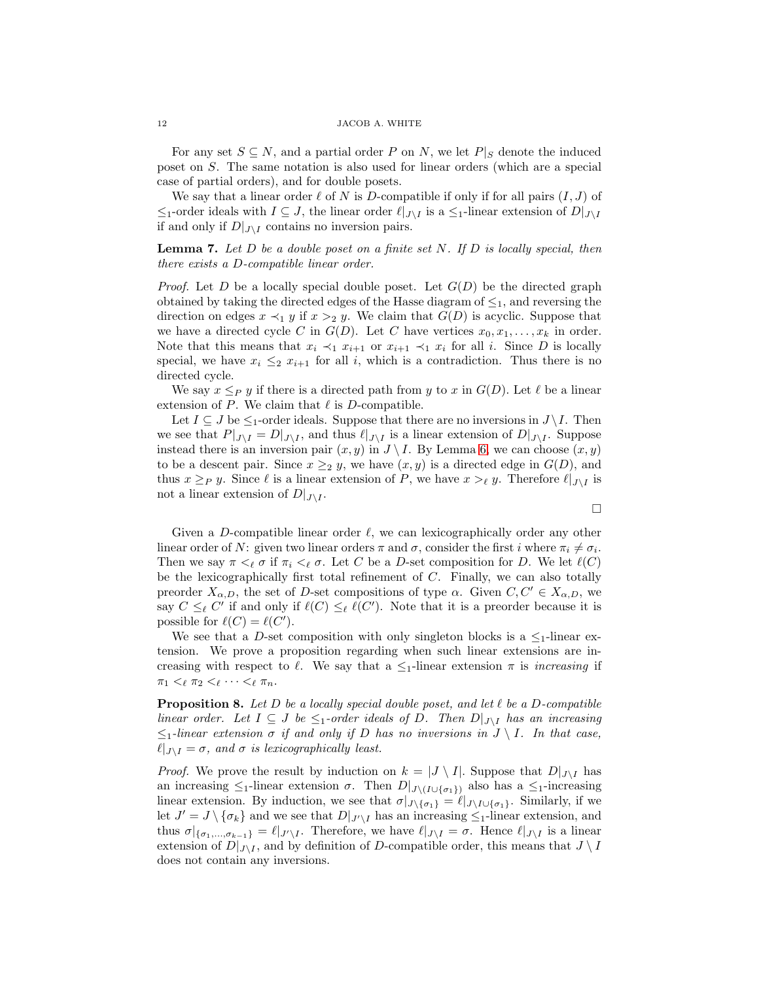For any set  $S \subseteq N$ , and a partial order P on N, we let  $P|_S$  denote the induced poset on S. The same notation is also used for linear orders (which are a special case of partial orders), and for double posets.

We say that a linear order  $\ell$  of N is D-compatible if only if for all pairs  $(I, J)$  of  $\leq_1$ -order ideals with  $I \subseteq J$ , the linear order  $\ell|_{J \setminus I}$  is a  $\leq_1$ -linear extension of  $D|_{J \setminus I}$ if and only if  $D|_{J\setminus I}$  contains no inversion pairs.

<span id="page-11-0"></span>**Lemma 7.** Let  $D$  be a double poset on a finite set  $N$ . If  $D$  is locally special, then there exists a D-compatible linear order.

*Proof.* Let D be a locally special double poset. Let  $G(D)$  be the directed graph obtained by taking the directed edges of the Hasse diagram of  $\leq_1$ , and reversing the direction on edges  $x \prec_1 y$  if  $x >_2 y$ . We claim that  $G(D)$  is acyclic. Suppose that we have a directed cycle C in  $G(D)$ . Let C have vertices  $x_0, x_1, \ldots, x_k$  in order. Note that this means that  $x_i \prec_1 x_{i+1}$  or  $x_{i+1} \prec_1 x_i$  for all i. Since D is locally special, we have  $x_i \leq_2 x_{i+1}$  for all i, which is a contradiction. Thus there is no directed cycle.

We say  $x \leq_P y$  if there is a directed path from y to x in  $G(D)$ . Let  $\ell$  be a linear extension of P. We claim that  $\ell$  is D-compatible.

Let  $I \subseteq J$  be  $\leq_1$ -order ideals. Suppose that there are no inversions in  $J \setminus I$ . Then we see that  $P|_{J\setminus I} = D|_{J\setminus I}$ , and thus  $\ell|_{J\setminus I}$  is a linear extension of  $D|_{J\setminus I}$ . Suppose instead there is an inversion pair  $(x, y)$  in  $J \setminus I$ . By Lemma [6,](#page-10-0) we can choose  $(x, y)$ to be a descent pair. Since  $x \geq_2 y$ , we have  $(x, y)$  is a directed edge in  $G(D)$ , and thus  $x \geq_P y$ . Since  $\ell$  is a linear extension of P, we have  $x >_{\ell} y$ . Therefore  $\ell|_{J \setminus I}$  is not a linear extension of  $D|_{J \setminus I}$ .

$$
\Box
$$

Given a D-compatible linear order  $\ell$ , we can lexicographically order any other linear order of N: given two linear orders  $\pi$  and  $\sigma$ , consider the first i where  $\pi_i \neq \sigma_i$ . Then we say  $\pi <_{\ell} \sigma$  if  $\pi_i <_{\ell} \sigma$ . Let C be a D-set composition for D. We let  $\ell(C)$ be the lexicographically first total refinement of  $C$ . Finally, we can also totally preorder  $X_{\alpha,D}$ , the set of D-set compositions of type  $\alpha$ . Given  $C, C' \in X_{\alpha,D}$ , we say  $C \leq_{\ell} C'$  if and only if  $\ell(C) \leq_{\ell} \ell(C')$ . Note that it is a preorder because it is possible for  $\ell(C) = \ell(C')$ .

We see that a D-set composition with only singleton blocks is a  $\leq_1$ -linear extension. We prove a proposition regarding when such linear extensions are increasing with respect to  $\ell$ . We say that a  $\leq_1$ -linear extension  $\pi$  is *increasing* if  $\pi_1 <_{\ell} \pi_2 <_{\ell} \cdots <_{\ell} \pi_n$ .

<span id="page-11-1"></span>**Proposition 8.** Let D be a locally special double poset, and let  $\ell$  be a D-compatible linear order. Let  $I \subseteq J$  be  $\leq_1$ -order ideals of D. Then  $D|_{J \setminus I}$  has an increasing  $\leq_1$ -linear extension  $\sigma$  if and only if D has no inversions in  $J \setminus I$ . In that case,  $\ell|_{J \setminus I} = \sigma$ , and  $\sigma$  is lexicographically least.

*Proof.* We prove the result by induction on  $k = |J \setminus I|$ . Suppose that  $D|_{J \setminus I}$  has an increasing  $\leq_1$ -linear extension  $\sigma$ . Then  $D|_{J\setminus (I\cup{\{\sigma_1\}})}$  also has a  $\leq_1$ -increasing linear extension. By induction, we see that  $\sigma|_{J\setminus{\{\sigma_1\}}} = \ell|_{J\setminus{I\cup{\{\sigma_1\}}}}$ . Similarly, if we let  $J' = J \setminus {\{\sigma_k\}}$  and we see that  $D|_{J' \setminus I}$  has an increasing  $\leq_1$ -linear extension, and thus  $\sigma|_{\{\sigma_1,\ldots,\sigma_{k-1}\}} = \ell|_{J'\setminus I}$ . Therefore, we have  $\ell|_{J\setminus I} = \sigma$ . Hence  $\ell|_{J\setminus I}$  is a linear extension of  $D|_{J \setminus I}$ , and by definition of D-compatible order, this means that  $J \setminus I$ does not contain any inversions.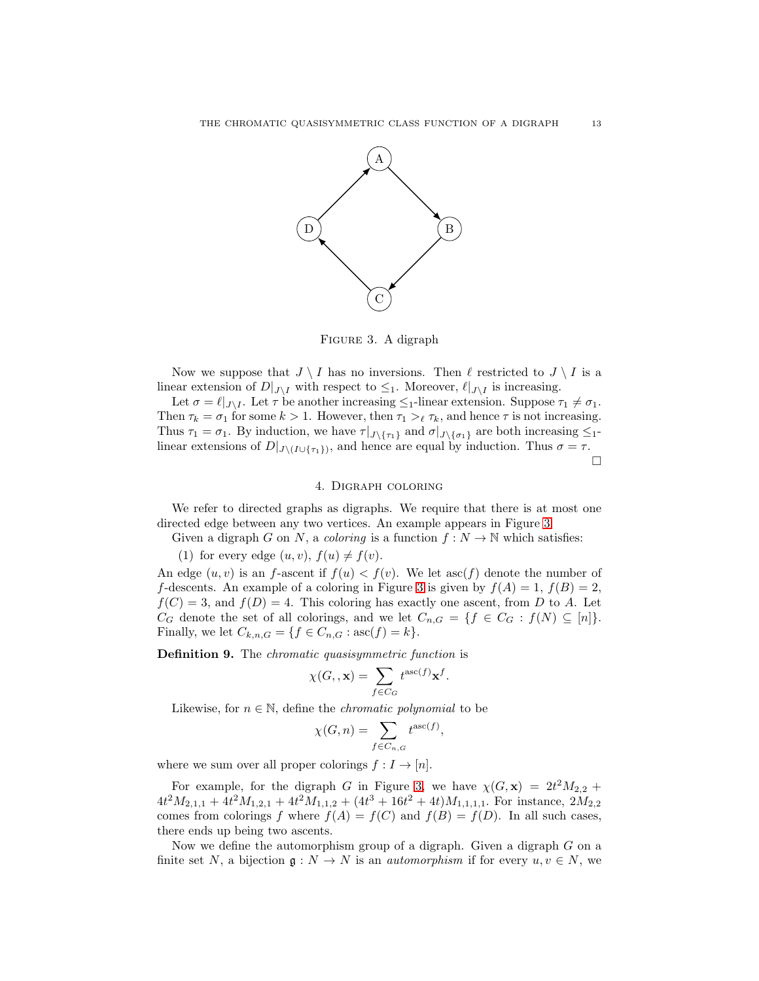

<span id="page-12-1"></span>Figure 3. A digraph

Now we suppose that  $J \setminus I$  has no inversions. Then  $\ell$  restricted to  $J \setminus I$  is a linear extension of  $D|_{J\setminus I}$  with respect to  $\leq_1$ . Moreover,  $\ell|_{J\setminus I}$  is increasing.

Let  $\sigma = \ell|_{J \setminus I}$ . Let  $\tau$  be another increasing  $\leq_1$ -linear extension. Suppose  $\tau_1 \neq \sigma_1$ . Then  $\tau_k = \sigma_1$  for some  $k > 1$ . However, then  $\tau_1 >_{\ell} \tau_k$ , and hence  $\tau$  is not increasing. Thus  $\tau_1 = \sigma_1$ . By induction, we have  $\tau|_{J\setminus\{\tau_1\}}$  and  $\sigma|_{J\setminus\{\sigma_1\}}$  are both increasing  $\leq_1$ linear extensions of  $D|_{J \setminus (I \cup \{\tau_1\})}$ , and hence are equal by induction. Thus  $\sigma = \tau$ .

 $\Box$ 

## 4. Digraph coloring

<span id="page-12-0"></span>We refer to directed graphs as digraphs. We require that there is at most one directed edge between any two vertices. An example appears in Figure [3.](#page-12-1)

Given a digraph G on N, a coloring is a function  $f: N \to \mathbb{N}$  which satisfies:

(1) for every edge  $(u, v)$ ,  $f(u) \neq f(v)$ .

An edge  $(u, v)$  is an f-ascent if  $f(u) < f(v)$ . We let  $\operatorname{asc}(f)$  denote the number of f-descents. An example of a coloring in Figure [3](#page-12-1) is given by  $f(A) = 1$ ,  $f(B) = 2$ ,  $f(C) = 3$ , and  $f(D) = 4$ . This coloring has exactly one ascent, from D to A. Let  $C_G$  denote the set of all colorings, and we let  $C_{n,G} = \{f \in C_G : f(N) \subseteq [n]\}.$ Finally, we let  $C_{k,n,G} = \{f \in C_{n,G} : \mathrm{asc}(f) = k\}.$ 

Definition 9. The *chromatic quasisymmetric function* is

$$
\chi(G, \mathbf{x}) = \sum_{f \in C_G} t^{\mathrm{asc}(f)} \mathbf{x}^f.
$$

Likewise, for  $n \in \mathbb{N}$ , define the *chromatic polynomial* to be

$$
\chi(G, n) = \sum_{f \in C_{n,G}} t^{\mathrm{asc}(f)},
$$

where we sum over all proper colorings  $f : I \to [n]$ .

For example, for the digraph G in Figure [3,](#page-12-1) we have  $\chi(G, x) = 2t^2 M_{2,2}$  +  $4t^2M_{2,1,1} + 4t^2M_{1,2,1} + 4t^2M_{1,1,2} + (4t^3 + 16t^2 + 4t)M_{1,1,1,1}$ . For instance,  $2M_{2,2}$ comes from colorings f where  $f(A) = f(C)$  and  $f(B) = f(D)$ . In all such cases, there ends up being two ascents.

Now we define the automorphism group of a digraph. Given a digraph  $G$  on a finite set N, a bijection  $\mathfrak{g}: N \to N$  is an *automorphism* if for every  $u, v \in N$ , we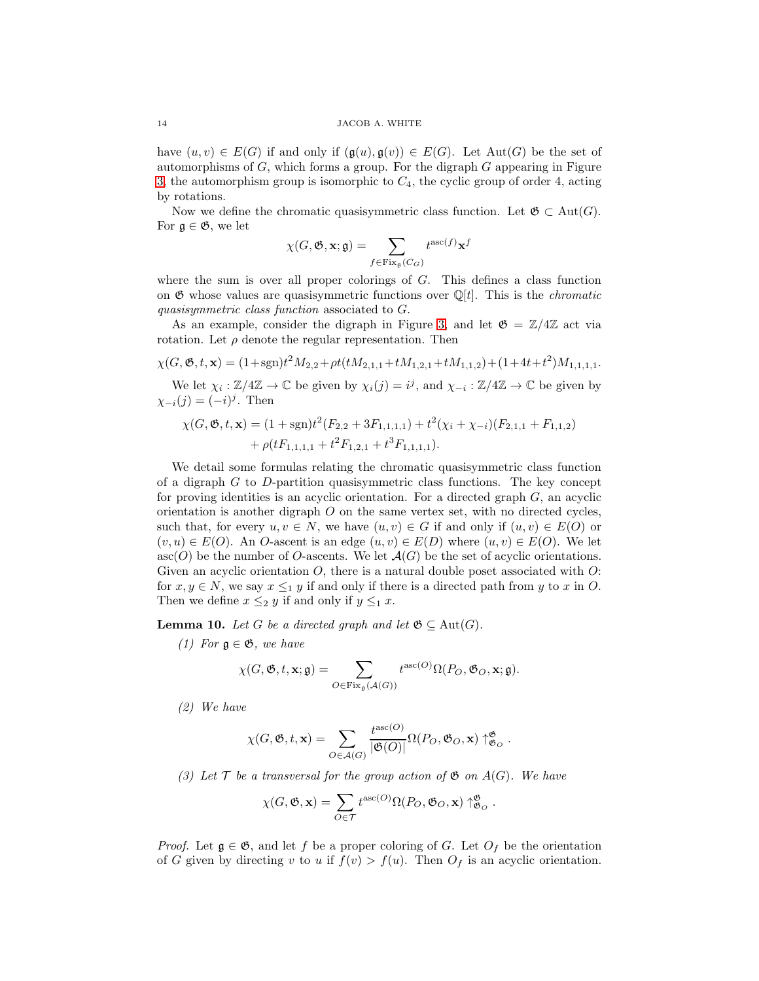have  $(u, v) \in E(G)$  if and only if  $(\mathfrak{g}(u), \mathfrak{g}(v)) \in E(G)$ . Let  $Aut(G)$  be the set of automorphisms of  $G$ , which forms a group. For the digraph  $G$  appearing in Figure [3,](#page-12-1) the automorphism group is isomorphic to  $C_4$ , the cyclic group of order 4, acting by rotations.

Now we define the chromatic quasisymmetric class function. Let  $\mathfrak{G} \subset \text{Aut}(G)$ . For  $\mathfrak{g} \in \mathfrak{G}$ , we let

$$
\chi(G, \mathfrak{G}, \mathbf{x}; \mathfrak{g}) = \sum_{f \in \text{Fix}_{\mathfrak{g}}(C_G)} t^{\text{asc}(f)} \mathbf{x}^f
$$

where the sum is over all proper colorings of  $G$ . This defines a class function on  $\mathfrak{G}$  whose values are quasisymmetric functions over  $\mathbb{Q}[t]$ . This is the *chromatic* quasisymmetric class function associated to G.

As an example, consider the digraph in Figure [3,](#page-12-1) and let  $\mathfrak{G} = \mathbb{Z}/4\mathbb{Z}$  act via rotation. Let  $\rho$  denote the regular representation. Then

$$
\chi(G, \mathfrak{G}, t, \mathbf{x}) = (1 + \text{sgn})t^2 M_{2,2} + \rho t(tM_{2,1,1} + tM_{1,2,1} + tM_{1,1,2}) + (1 + 4t + t^2)M_{1,1,1,1}.
$$

We let  $\chi_i : \mathbb{Z}/4\mathbb{Z} \to \mathbb{C}$  be given by  $\chi_i(j) = i^j$ , and  $\chi_{-i} : \mathbb{Z}/4\mathbb{Z} \to \mathbb{C}$  be given by  $\chi_{-i}(j) = (-i)^j$ . Then

$$
\chi(G, \mathfrak{G}, t, \mathbf{x}) = (1 + \text{sgn})t^2(F_{2,2} + 3F_{1,1,1,1}) + t^2(\chi_i + \chi_{-i})(F_{2,1,1} + F_{1,1,2})
$$
  
+  $\rho(tF_{1,1,1,1} + t^2F_{1,2,1} + t^3F_{1,1,1,1}).$ 

We detail some formulas relating the chromatic quasisymmetric class function of a digraph  $G$  to  $D$ -partition quasisymmetric class functions. The key concept for proving identities is an acyclic orientation. For a directed graph  $G$ , an acyclic orientation is another digraph  $O$  on the same vertex set, with no directed cycles, such that, for every  $u, v \in N$ , we have  $(u, v) \in G$  if and only if  $(u, v) \in E(O)$  or  $(v, u) \in E(O)$ . An O-ascent is an edge  $(u, v) \in E(D)$  where  $(u, v) \in E(O)$ . We let asc(O) be the number of O-ascents. We let  $\mathcal{A}(G)$  be the set of acyclic orientations. Given an acyclic orientation  $O$ , there is a natural double poset associated with  $O$ : for  $x, y \in N$ , we say  $x \leq_1 y$  if and only if there is a directed path from y to x in O. Then we define  $x \leq_2 y$  if and only if  $y \leq_1 x$ .

**Lemma 10.** Let G be a directed graph and let  $\mathfrak{G} \subseteq \text{Aut}(G)$ .

(1) For  $\mathfrak{g} \in \mathfrak{G}$ , we have

$$
\chi(G, \mathfrak{G}, t, \mathbf{x}; \mathfrak{g}) = \sum_{O \in \text{Fix}_{\mathfrak{g}}(\mathcal{A}(G))} t^{\text{asc}(O)} \Omega(P_O, \mathfrak{G}_O, \mathbf{x}; \mathfrak{g}).
$$

(2) We have

$$
\chi(G,\mathfrak{G},t,\mathbf{x}) = \sum_{O \in \mathcal{A}(G)} \frac{t^{\mathrm{asc}(O)}}{|\mathfrak{G}(O)|} \Omega(P_O,\mathfrak{G}_O,\mathbf{x}) \uparrow_{\mathfrak{G}_O}^{\mathfrak{G}}.
$$

<span id="page-13-0"></span>(3) Let  $\mathcal T$  be a transversal for the group action of  $\mathfrak{G}$  on  $A(G)$ . We have

$$
\chi(G, \mathfrak{G}, \mathbf{x}) = \sum_{O \in \mathcal{T}} t^{\mathrm{asc}(O)} \Omega(P_O, \mathfrak{G}_O, \mathbf{x}) \uparrow_{\mathfrak{G}_O}^{\mathfrak{G}}.
$$

*Proof.* Let  $\mathfrak{g} \in \mathfrak{G}$ , and let f be a proper coloring of G. Let  $O_f$  be the orientation of G given by directing v to u if  $f(v) > f(u)$ . Then  $O_f$  is an acyclic orientation.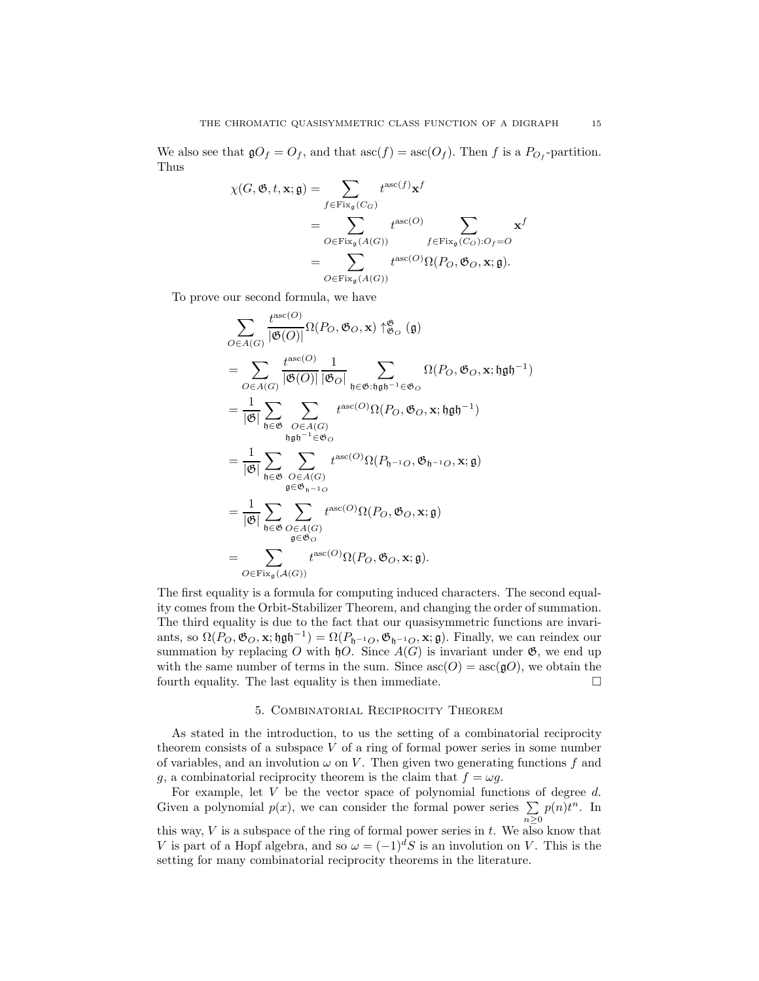We also see that  $\mathfrak{g}O_f = O_f$ , and that  $\operatorname{asc}(f) = \operatorname{asc}(O_f)$ . Then f is a  $P_{O_f}$ -partition. Thus

$$
\chi(G, \mathfrak{G}, t, \mathbf{x}; \mathfrak{g}) = \sum_{f \in \text{Fix}_{\mathfrak{g}}(C_G)} t^{\text{asc}(f)} \mathbf{x}^f
$$
  
= 
$$
\sum_{O \in \text{Fix}_{\mathfrak{g}}(A(G))} t^{\text{asc}(O)} \sum_{f \in \text{Fix}_{\mathfrak{g}}(C_G) : O_f = O} \mathbf{x}^f
$$
  
= 
$$
\sum_{O \in \text{Fix}_{\mathfrak{g}}(A(G))} t^{\text{asc}(O)} \Omega(P_O, \mathfrak{G}_O, \mathbf{x}; \mathfrak{g}).
$$

To prove our second formula, we have

$$
\sum_{O \in A(G)} \frac{t^{\mathrm{asc}(O)}}{|\mathfrak{G}(O)|} \Omega(P_O, \mathfrak{G}_O, \mathbf{x}) \uparrow_{\mathfrak{G}_O}^{\mathfrak{G}} (\mathfrak{g})
$$
\n
$$
= \sum_{O \in A(G)} \frac{t^{\mathrm{asc}(O)}}{|\mathfrak{G}(O)|} \frac{1}{|\mathfrak{G}_O|} \sum_{\mathfrak{h} \in \mathfrak{G}: \mathfrak{h} \mathfrak{g} \mathfrak{h}^{-1} \in \mathfrak{G}_O} \Omega(P_O, \mathfrak{G}_O, \mathbf{x}; \mathfrak{h} \mathfrak{g} \mathfrak{h}^{-1})
$$
\n
$$
= \frac{1}{|\mathfrak{G}|} \sum_{\mathfrak{h} \in \mathfrak{G}} \sum_{O \in A(G)} t^{\mathrm{asc}(O)} \Omega(P_O, \mathfrak{G}_O, \mathbf{x}; \mathfrak{h} \mathfrak{g} \mathfrak{h}^{-1})
$$
\n
$$
= \frac{1}{|\mathfrak{G}|} \sum_{\mathfrak{h} \in \mathfrak{G}} \sum_{O \in A(G)} t^{\mathrm{asc}(O)} \Omega(P_{\mathfrak{h}^{-1}O}, \mathfrak{G}_{\mathfrak{h}^{-1}O}, \mathbf{x}; \mathfrak{g})
$$
\n
$$
= \frac{1}{|\mathfrak{G}|} \sum_{\mathfrak{h} \in \mathfrak{G}} \sum_{O \in A(G)} t^{\mathrm{asc}(O)} \Omega(P_O, \mathfrak{G}_O, \mathbf{x}; \mathfrak{g})
$$
\n
$$
= \sum_{O \in \mathrm{Fix}_{\mathfrak{g}}(A(G))} t^{\mathrm{asc}(O)} \Omega(P_O, \mathfrak{G}_O, \mathbf{x}; \mathfrak{g}).
$$

The first equality is a formula for computing induced characters. The second equality comes from the Orbit-Stabilizer Theorem, and changing the order of summation. The third equality is due to the fact that our quasisymmetric functions are invariants, so  $\Omega(P_O, \mathfrak{G}_O, \mathbf{x}; \mathfrak{h}\mathfrak{g}\mathfrak{h}^{-1}) = \Omega(P_{\mathfrak{h}^{-1}O}, \mathfrak{G}_{\mathfrak{h}^{-1}O}, \mathbf{x}; \mathfrak{g})$ . Finally, we can reindex our summation by replacing O with  $\mathfrak{h}O$ . Since  $A(G)$  is invariant under  $\mathfrak{G}$ , we end up with the same number of terms in the sum. Since  $asc(O) = asc(gO)$ , we obtain the fourth equality. The last equality is then immediate.  $\Box$ 

## 5. Combinatorial Reciprocity Theorem

<span id="page-14-0"></span>As stated in the introduction, to us the setting of a combinatorial reciprocity theorem consists of a subspace  $V$  of a ring of formal power series in some number of variables, and an involution  $\omega$  on V. Then given two generating functions f and g, a combinatorial reciprocity theorem is the claim that  $f = \omega g$ .

For example, let  $V$  be the vector space of polynomial functions of degree  $d$ . Given a polynomial  $p(x)$ , we can consider the formal power series  $\Sigma$  $n\geq 0$  $p(n)t^n$ . In

this way,  $V$  is a subspace of the ring of formal power series in  $t$ . We also know that V is part of a Hopf algebra, and so  $\omega = (-1)^d S$  is an involution on V. This is the setting for many combinatorial reciprocity theorems in the literature.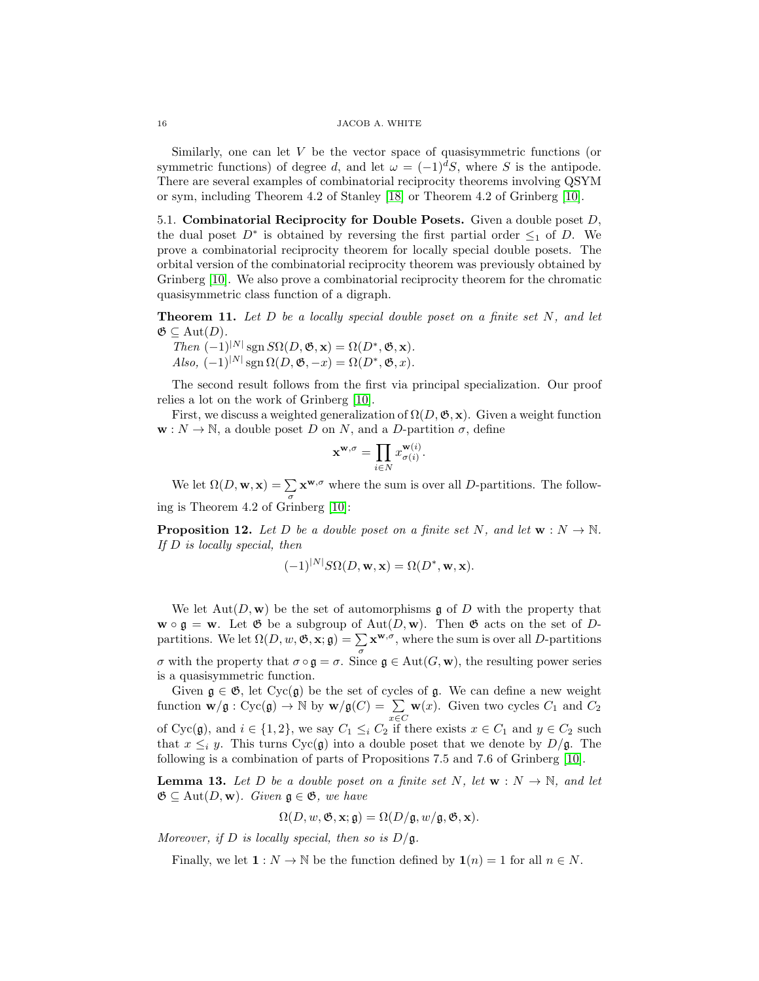Similarly, one can let  $V$  be the vector space of quasisymmetric functions (or symmetric functions) of degree d, and let  $\omega = (-1)^d S$ , where S is the antipode. There are several examples of combinatorial reciprocity theorems involving QSYM or sym, including Theorem 4.2 of Stanley [\[18\]](#page-26-4) or Theorem 4.2 of Grinberg [\[10\]](#page-26-1).

5.1. Combinatorial Reciprocity for Double Posets. Given a double poset D, the dual poset  $D^*$  is obtained by reversing the first partial order  $\leq_1$  of D. We prove a combinatorial reciprocity theorem for locally special double posets. The orbital version of the combinatorial reciprocity theorem was previously obtained by Grinberg [\[10\]](#page-26-1). We also prove a combinatorial reciprocity theorem for the chromatic quasisymmetric class function of a digraph.

<span id="page-15-0"></span>**Theorem 11.** Let  $D$  be a locally special double poset on a finite set  $N$ , and let  $\mathfrak{G} \subseteq \text{Aut}(D).$ 

Then  $(-1)^{|N|}$  sgn  $S\Omega(D, \mathfrak{G}, \mathbf{x}) = \Omega(D^*, \mathfrak{G}, \mathbf{x}).$ Also,  $(-1)^{|N|}$  sgn  $\Omega(D, \mathfrak{G}, -x) = \Omega(D^*, \mathfrak{G}, x)$ .

The second result follows from the first via principal specialization. Our proof relies a lot on the work of Grinberg [\[10\]](#page-26-1).

First, we discuss a weighted generalization of  $\Omega(D, \mathfrak{G}, \mathbf{x})$ . Given a weight function  $\mathbf{w}: N \to \mathbb{N}$ , a double poset D on N, and a D-partition  $\sigma$ , define

$$
\mathbf{x}^{\mathbf{w},\sigma}=\prod_{i\in N}x_{\sigma(i)}^{\mathbf{w}(i)}.
$$

We let  $\Omega(D, \mathbf{w}, \mathbf{x}) = \sum_{\mathbf{x}} \mathbf{x}^{\mathbf{w}, \sigma}$  where the sum is over all D-partitions. The follow-ing is Theorem 4.2 of Grinberg [\[10\]](#page-26-1):

<span id="page-15-2"></span>**Proposition 12.** Let D be a double poset on a finite set N, and let  $w : N \to N$ . If D is locally special, then

$$
(-1)^{|N|} S\Omega(D, \mathbf{w}, \mathbf{x}) = \Omega(D^*, \mathbf{w}, \mathbf{x}).
$$

We let  $Aut(D, w)$  be the set of automorphisms g of D with the property that  $\mathbf{w} \circ \mathbf{g} = \mathbf{w}$ . Let  $\mathfrak{G}$  be a subgroup of Aut $(D, \mathbf{w})$ . Then  $\mathfrak{G}$  acts on the set of Dpartitions. We let  $\Omega(D, w, \mathfrak{G}, \mathbf{x}; \mathfrak{g}) = \sum_{\mathbf{x}} \mathbf{x}^{\mathbf{w}, \sigma}$ , where the sum is over all D-partitions σ with the property that σ∘g = σ. Since g ∈ Aut( $G$ , **w**), the resulting power series is a quasisymmetric function.

Given  $\mathfrak{g} \in \mathfrak{G}$ , let  $Cyc(\mathfrak{g})$  be the set of cycles of  $\mathfrak{g}$ . We can define a new weight function  $\mathbf{w}/\mathfrak{g}: \mathrm{Cyc}(\mathfrak{g}) \to \mathbb{N}$  by  $\mathbf{w}/\mathfrak{g}(C) = \sum$  $\sum_{x \in C} \mathbf{w}(x)$ . Given two cycles  $C_1$  and  $C_2$ of Cyc( $\mathfrak{g}$ ), and  $i \in \{1,2\}$ , we say  $C_1 \leq_i C_2$  if there exists  $x \in C_1$  and  $y \in C_2$  such that  $x \leq_i y$ . This turns Cyc(g) into a double poset that we denote by  $D/g$ . The following is a combination of parts of Propositions 7.5 and 7.6 of Grinberg [\[10\]](#page-26-1).

<span id="page-15-1"></span>**Lemma 13.** Let D be a double poset on a finite set N, let  $\mathbf{w}: N \to \mathbb{N}$ , and let  $\mathfrak{G} \subseteq \text{Aut}(D, \mathbf{w})$ . Given  $\mathfrak{g} \in \mathfrak{G}$ , we have

$$
\Omega(D, w, \mathfrak{G}, \mathbf{x}; \mathfrak{g}) = \Omega(D/\mathfrak{g}, w/\mathfrak{g}, \mathfrak{G}, \mathbf{x}).
$$

Moreover, if D is locally special, then so is  $D/\mathfrak{g}$ .

Finally, we let  $\mathbf{1} : N \to \mathbb{N}$  be the function defined by  $\mathbf{1}(n) = 1$  for all  $n \in N$ .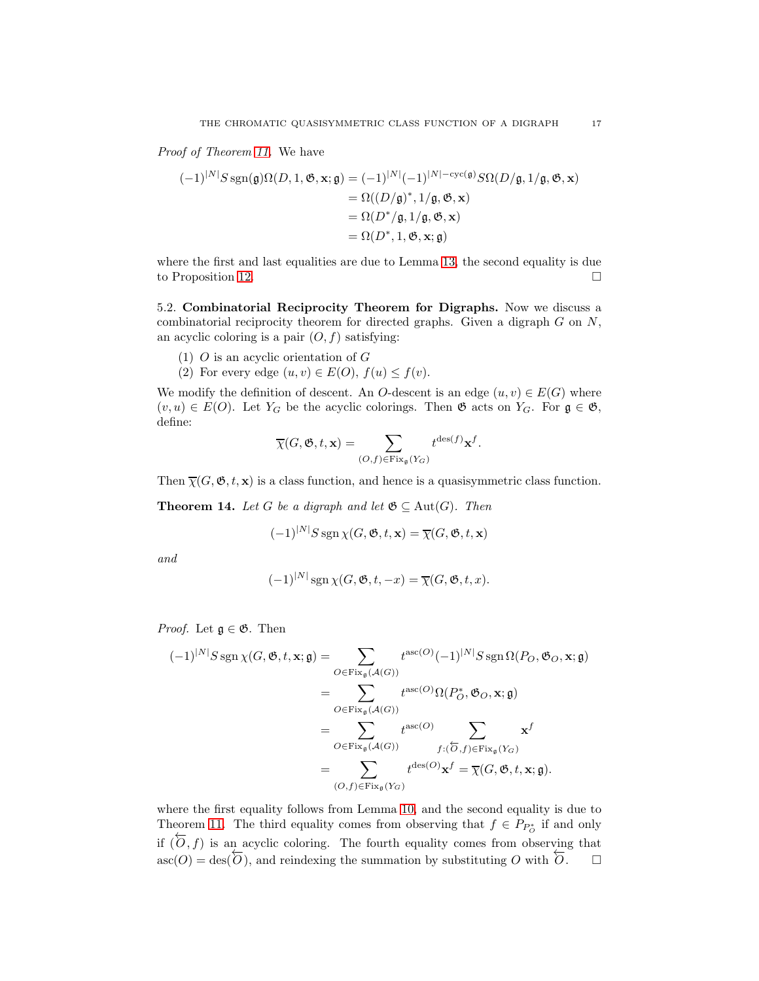Proof of Theorem [11.](#page-15-0) We have

$$
(-1)^{|N|} S \operatorname{sgn}(\mathfrak{g}) \Omega(D, 1, \mathfrak{G}, \mathbf{x}; \mathfrak{g}) = (-1)^{|N|} (-1)^{|N| - \operatorname{cyc}(\mathfrak{g})} S \Omega(D/\mathfrak{g}, 1/\mathfrak{g}, \mathfrak{G}, \mathbf{x})
$$
  
\n
$$
= \Omega((D/\mathfrak{g})^*, 1/\mathfrak{g}, \mathfrak{G}, \mathbf{x})
$$
  
\n
$$
= \Omega(D^*/\mathfrak{g}, 1/\mathfrak{g}, \mathfrak{G}, \mathbf{x})
$$
  
\n
$$
= \Omega(D^*, 1, \mathfrak{G}, \mathbf{x}; \mathfrak{g})
$$

where the first and last equalities are due to Lemma [13,](#page-15-1) the second equality is due to Proposition [12.](#page-15-2)

5.2. Combinatorial Reciprocity Theorem for Digraphs. Now we discuss a combinatorial reciprocity theorem for directed graphs. Given a digraph  $G$  on  $N$ , an acyclic coloring is a pair  $(O, f)$  satisfying:

- (1)  $O$  is an acyclic orientation of  $G$
- (2) For every edge  $(u, v) \in E(O)$ ,  $f(u) \leq f(v)$ .

We modify the definition of descent. An O-descent is an edge  $(u, v) \in E(G)$  where  $(v, u) \in E(O)$ . Let  $Y_G$  be the acyclic colorings. Then  $\mathfrak{G}$  acts on  $Y_G$ . For  $\mathfrak{g} \in \mathfrak{G}$ , define:

$$
\overline{\chi}(G, \mathfrak{G}, t, \mathbf{x}) = \sum_{(O, f) \in \text{Fix}_{\mathfrak{g}}(Y_G)} t^{\text{des}(f)} \mathbf{x}^f.
$$

Then  $\overline{\chi}(G, \mathfrak{G}, t, \mathbf{x})$  is a class function, and hence is a quasisymmetric class function.

<span id="page-16-0"></span>**Theorem 14.** Let G be a digraph and let  $\mathfrak{G} \subseteq \text{Aut}(G)$ . Then

$$
(-1)^{|N|} S \operatorname{sgn} \chi(G, \mathfrak{G}, t, \mathbf{x}) = \overline{\chi}(G, \mathfrak{G}, t, \mathbf{x})
$$

and

$$
(-1)^{|N|} \operatorname{sgn} \chi(G, \mathfrak{G}, t, -x) = \overline{\chi}(G, \mathfrak{G}, t, x).
$$

*Proof.* Let  $\mathfrak{g} \in \mathfrak{G}$ . Then

$$
\begin{aligned} (-1)^{|N|}S \operatorname{sgn} \chi(G, \mathfrak{G}, t, \mathbf{x}; \mathfrak{g}) &= \sum_{O \in \operatorname{Fix}_{\mathfrak{g}}(\mathcal{A}(G))} t^{\operatorname{asc}(O)}(-1)^{|N|}S \operatorname{sgn} \Omega(P_O, \mathfrak{G}_O, \mathbf{x}; \mathfrak{g}) \\ &= \sum_{O \in \operatorname{Fix}_{\mathfrak{g}}(\mathcal{A}(G))} t^{\operatorname{asc}(O)} \Omega(P_O^*, \mathfrak{G}_O, \mathbf{x}; \mathfrak{g}) \\ &= \sum_{O \in \operatorname{Fix}_{\mathfrak{g}}(\mathcal{A}(G))} t^{\operatorname{asc}(O)} \sum_{f: (\mathcal{G}, f) \in \operatorname{Fix}_{\mathfrak{g}}(Y_G)} \mathbf{x}^f \\ &= \sum_{(O, f) \in \operatorname{Fix}_{\mathfrak{g}}(Y_G)} t^{\operatorname{des}(O)} \mathbf{x}^f = \overline{\chi}(G, \mathfrak{G}, t, \mathbf{x}; \mathfrak{g}). \end{aligned}
$$

where the first equality follows from Lemma [10,](#page-13-0) and the second equality is due to Theorem [11.](#page-15-0) The third equality comes from observing that  $f \in P_{P_{\mathcal{O}}}$  if and only if  $(\overleftarrow{O}, f)$  is an acyclic coloring. The fourth equality comes from observing that  $\text{asc}(O) = \text{des}(\overleftarrow{O})$ , and reindexing the summation by substituting O with  $\overleftarrow{O}$ .  $\Box$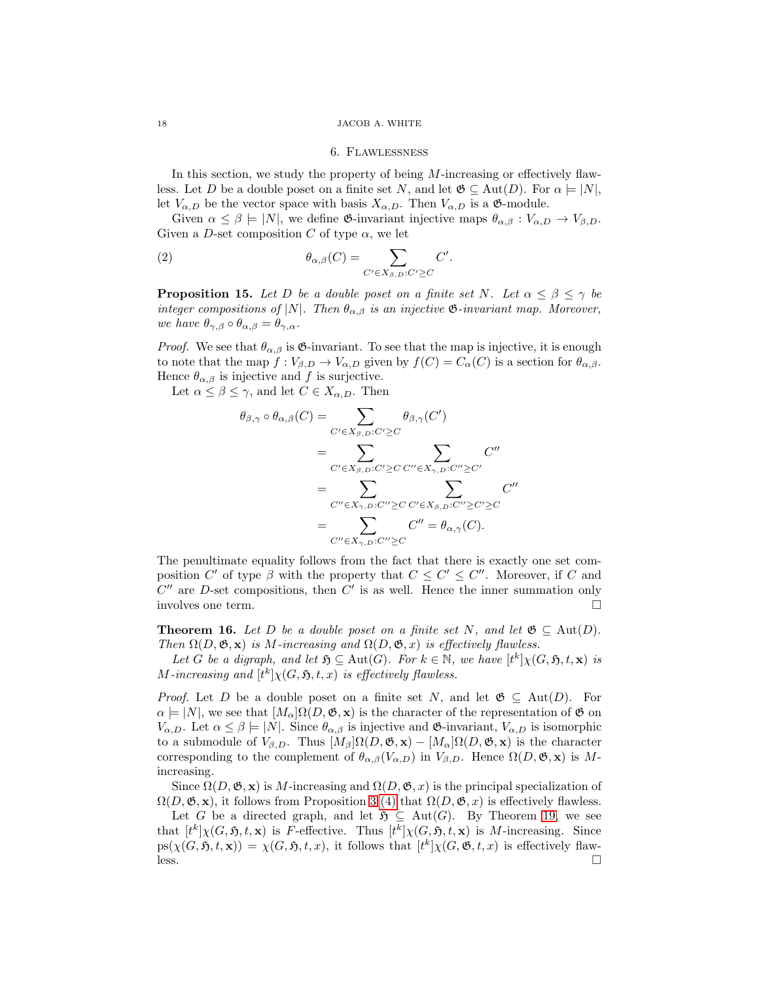## <span id="page-17-2"></span>6. Flawlessness

<span id="page-17-0"></span>In this section, we study the property of being M-increasing or effectively flawless. Let D be a double poset on a finite set N, and let  $\mathfrak{G} \subseteq \text{Aut}(D)$ . For  $\alpha \models |N|$ , let  $V_{\alpha,D}$  be the vector space with basis  $X_{\alpha,D}$ . Then  $V_{\alpha,D}$  is a  $\mathfrak{G}\text{-module}$ .

Given  $\alpha \leq \beta \models |N|$ , we define **&**-invariant injective maps  $\theta_{\alpha,\beta}: V_{\alpha,D} \rightarrow V_{\beta,D}$ . Given a D-set composition C of type  $\alpha$ , we let

(2) 
$$
\theta_{\alpha,\beta}(C) = \sum_{C' \in X_{\beta,D}: C' \geq C} C'.
$$

<span id="page-17-3"></span>**Proposition 15.** Let D be a double poset on a finite set N. Let  $\alpha \leq \beta \leq \gamma$  be integer compositions of  $|N|$ . Then  $\theta_{\alpha,\beta}$  is an injective  $\mathfrak{G}\text{-}invariant map$ . Moreover, we have  $\theta_{\gamma,\beta} \circ \theta_{\alpha,\beta} = \theta_{\gamma,\alpha}$ .

*Proof.* We see that  $\theta_{\alpha,\beta}$  is  $\mathfrak{G}$ -invariant. To see that the map is injective, it is enough to note that the map  $f: V_{\beta,D} \to V_{\alpha,D}$  given by  $f(C) = C_{\alpha}(C)$  is a section for  $\theta_{\alpha,\beta}$ . Hence  $\theta_{\alpha,\beta}$  is injective and f is surjective.

Let  $\alpha \leq \beta \leq \gamma$ , and let  $C \in X_{\alpha,D}$ . Then

$$
\theta_{\beta,\gamma} \circ \theta_{\alpha,\beta}(C) = \sum_{C' \in X_{\beta,D}: C' \geq C} \theta_{\beta,\gamma}(C')
$$
  
\n
$$
= \sum_{C' \in X_{\beta,D}: C' \geq C} \sum_{C'' \in X_{\gamma,D}: C'' \geq C'} C''
$$
  
\n
$$
= \sum_{C'' \in X_{\gamma,D}: C'' \geq C} \sum_{C' \in X_{\beta,D}: C'' \geq C'} C''
$$
  
\n
$$
= \sum_{C'' \in X_{\gamma,D}: C'' \geq C} C'' = \theta_{\alpha,\gamma}(C).
$$

The penultimate equality follows from the fact that there is exactly one set composition C' of type  $\beta$  with the property that  $C \leq C' \leq C''$ . Moreover, if C and  $C''$  are D-set compositions, then  $C'$  is as well. Hence the inner summation only involves one term.

<span id="page-17-1"></span>**Theorem 16.** Let D be a double poset on a finite set N, and let  $\mathfrak{G} \subseteq \text{Aut}(D)$ . Then  $\Omega(D, \mathfrak{G}, \mathbf{x})$  is M-increasing and  $\Omega(D, \mathfrak{G}, x)$  is effectively flawless.

Let G be a digraph, and let  $\mathfrak{H} \subseteq \text{Aut}(G)$ . For  $k \in \mathbb{N}$ , we have  $[t^k] \chi(G, \mathfrak{H}, t, \mathbf{x})$  is M-increasing and  $[t^k] \chi(G, \mathfrak{H}, t, x)$  is effectively flawless.

*Proof.* Let D be a double poset on a finite set N, and let  $\mathfrak{G} \subseteq Aut(D)$ . For  $\alpha = |N|$ , we see that  $[M_{\alpha}]\Omega(D, \mathfrak{G}, \mathbf{x})$  is the character of the representation of  $\mathfrak{G}$  on  $V_{\alpha,D}$ . Let  $\alpha \leq \beta \models |N|$ . Since  $\theta_{\alpha,\beta}$  is injective and  $\mathfrak{G}$ -invariant,  $V_{\alpha,D}$  is isomorphic to a submodule of  $V_{\beta,D}$ . Thus  $[M_\beta]\Omega(D,\mathfrak{G},\mathbf{x}) - [M_\alpha]\Omega(D,\mathfrak{G},\mathbf{x})$  is the character corresponding to the complement of  $\theta_{\alpha,\beta}(V_{\alpha,D})$  in  $V_{\beta,D}$ . Hence  $\Omega(D,\mathfrak{G},\mathbf{x})$  is Mincreasing.

Since  $\Omega(D, \mathfrak{G}, \mathbf{x})$  is M-increasing and  $\Omega(D, \mathfrak{G}, x)$  is the principal specialization of  $\Omega(D, \mathfrak{G}, \mathbf{x})$ , it follows from Proposition [3](#page-6-0) [\(4\)](#page-7-0) that  $\Omega(D, \mathfrak{G}, x)$  is effectively flawless.

Let G be a directed graph, and let  $\mathfrak{H} \subseteq \text{Aut}(G)$ . By Theorem [19,](#page-19-0) we see that  $[t^k] \chi(G, \mathfrak{H}, t, \mathbf{x})$  is F-effective. Thus  $[t^k] \chi(G, \mathfrak{H}, t, \mathbf{x})$  is M-increasing. Since  $ps(\chi(G, \mathfrak{H}, t, \mathbf{x})) = \chi(G, \mathfrak{H}, t, x)$ , it follows that  $[t^k]\chi(G, \mathfrak{G}, t, x)$  is effectively flawless.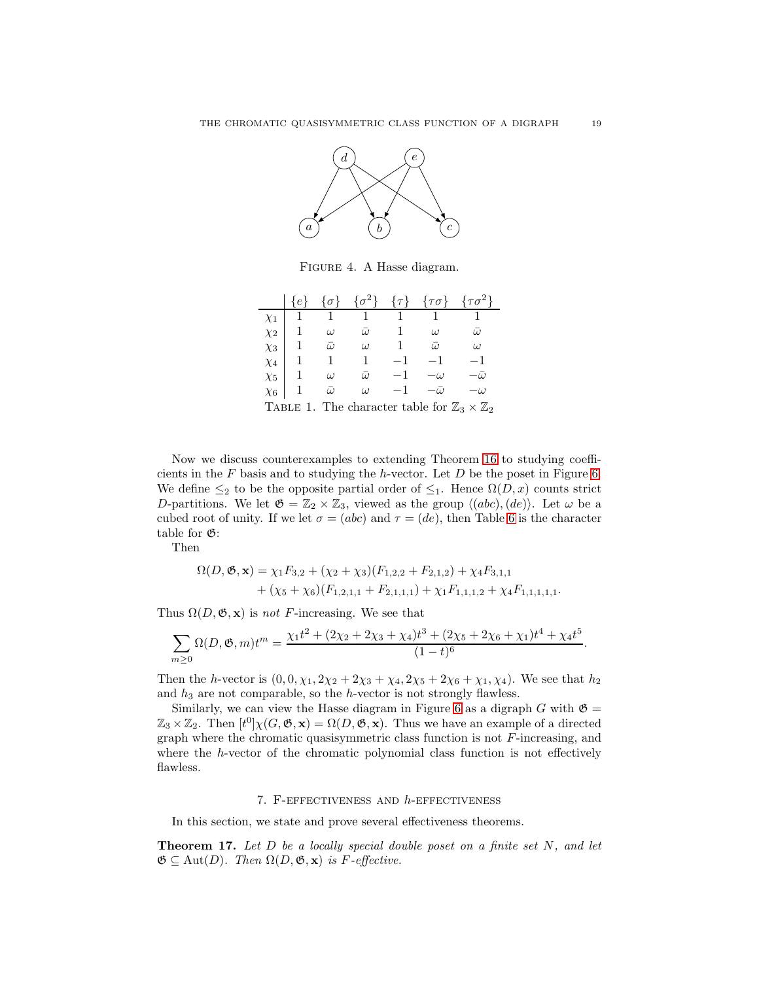

<span id="page-18-2"></span>FIGURE 4. A Hasse diagram.

|                                                                     | $\exists e$                       |                |                |          | $\{\sigma\}$ $\{\sigma^2\}$ $\{\tau\}$ $\{\tau\sigma\}$ $\{\tau\sigma^2\}$ |           |
|---------------------------------------------------------------------|-----------------------------------|----------------|----------------|----------|----------------------------------------------------------------------------|-----------|
| $\chi_1$                                                            |                                   | $\overline{1}$ | $\sim$ 1       | $\sim$ 1 | $\sim$ 1                                                                   |           |
| $\chi_2$                                                            | $\begin{pmatrix} 1 \end{pmatrix}$ | $\omega$       | $\bar{\omega}$ |          | $\omega$                                                                   | $\bar{G}$ |
| $\chi_3$                                                            |                                   | $\bar{\omega}$ | $\omega$       | 1        | $\bar{\omega}$                                                             | $\iota$   |
| $\chi_4$                                                            |                                   |                | 1              | $-1$     | $-1$                                                                       | $-1$      |
|                                                                     | $1 \omega$                        |                | $\bar{\omega}$ | $-1$     | $-i^{j}$                                                                   | $-(1)$    |
| $\frac{\chi_5}{\chi_6}$                                             |                                   | $\bar{\omega}$ | $\omega$       |          | $-\overline{u}$                                                            | $\iota$   |
| TABLE 1. The character table for $\mathbb{Z}_3 \times \mathbb{Z}_2$ |                                   |                |                |          |                                                                            |           |

Now we discuss counterexamples to extending Theorem [16](#page-17-1) to studying coefficients in the F basis and to studying the h-vector. Let  $D$  be the poset in Figure [6.](#page-17-1) We define  $\leq_2$  to be the opposite partial order of  $\leq_1$ . Hence  $\Omega(D, x)$  counts strict D-partitions. We let  $\mathfrak{G} = \mathbb{Z}_2 \times \mathbb{Z}_3$ , viewed as the group  $\langle (abc), (de) \rangle$ . Let  $\omega$  be a cubed root of unity. If we let  $\sigma = (abc)$  and  $\tau = (de)$ , then Table [6](#page-18-2) is the character table for G:

Then

$$
\Omega(D, \mathfrak{G}, \mathbf{x}) = \chi_1 F_{3,2} + (\chi_2 + \chi_3)(F_{1,2,2} + F_{2,1,2}) + \chi_4 F_{3,1,1}
$$
  
+ (\chi\_5 + \chi\_6)(F\_{1,2,1,1} + F\_{2,1,1,1}) + \chi\_1 F\_{1,1,1,2} + \chi\_4 F\_{1,1,1,1,1}

Thus  $\Omega(D, \mathfrak{G}, \mathbf{x})$  is not F-increasing. We see that

$$
\sum_{m\geq 0} \Omega(D, \mathfrak{G}, m)t^m = \frac{\chi_1 t^2 + (2\chi_2 + 2\chi_3 + \chi_4)t^3 + (2\chi_5 + 2\chi_6 + \chi_1)t^4 + \chi_4 t^5}{(1-t)^6}.
$$

Then the *h*-vector is  $(0, 0, \chi_1, 2\chi_2 + 2\chi_3 + \chi_4, 2\chi_5 + 2\chi_6 + \chi_1, \chi_4)$ . We see that  $h_2$ and  $h_3$  are not comparable, so the  $h$ -vector is not strongly flawless.

Similarly, we can view the Hasse diagram in Figure [6](#page-17-1) as a digraph G with  $\mathfrak{G} =$  $\mathbb{Z}_3 \times \mathbb{Z}_2$ . Then  $[t^0]\chi(G, \mathfrak{G}, \mathbf{x}) = \Omega(D, \mathfrak{G}, \mathbf{x})$ . Thus we have an example of a directed graph where the chromatic quasisymmetric class function is not  $F$ -increasing, and where the h-vector of the chromatic polynomial class function is not effectively flawless.

## 7. F-EFFECTIVENESS AND  $h$ -EFFECTIVENESS

<span id="page-18-1"></span>In this section, we state and prove several effectiveness theorems.

<span id="page-18-0"></span>**Theorem 17.** Let  $D$  be a locally special double poset on a finite set  $N$ , and let  $\mathfrak{G} \subseteq \text{Aut}(D)$ . Then  $\Omega(D, \mathfrak{G}, \mathbf{x})$  is F-effective.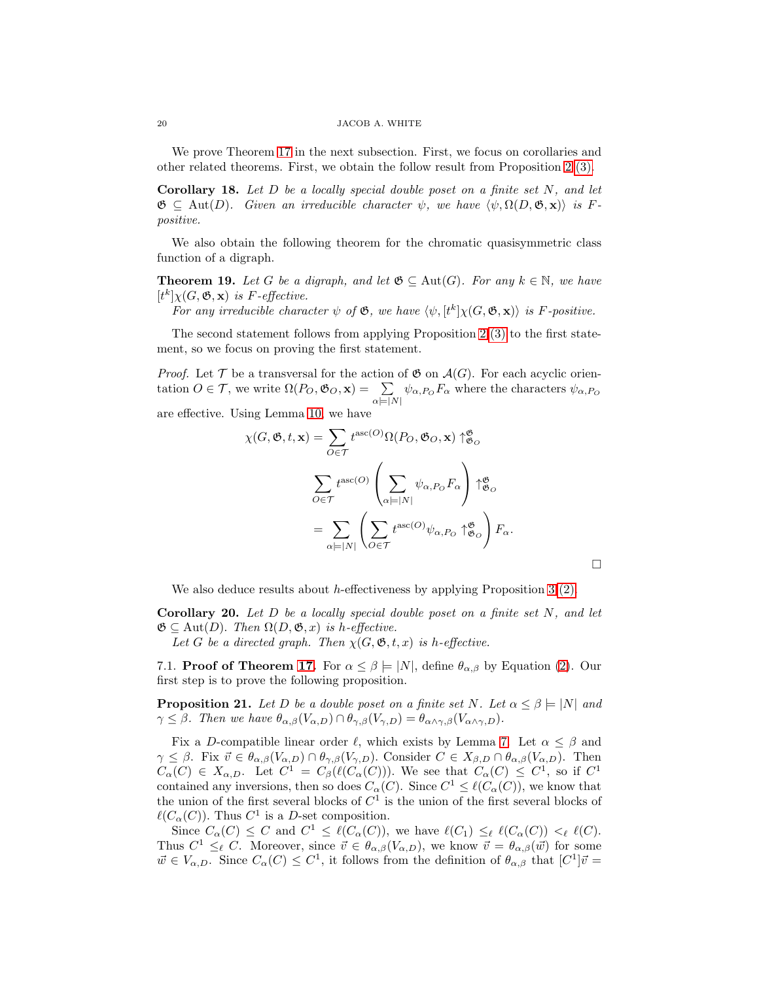We prove Theorem [17](#page-18-0) in the next subsection. First, we focus on corollaries and other related theorems. First, we obtain the follow result from Proposition [2](#page-5-0) [\(3\).](#page-5-1)

<span id="page-19-2"></span>**Corollary 18.** Let  $D$  be a locally special double poset on a finite set  $N$ , and let  $\mathfrak{G} \subseteq \text{Aut}(D)$ . Given an irreducible character  $\psi$ , we have  $\langle \psi, \Omega(D, \mathfrak{G}, \mathbf{x}) \rangle$  is Fpositive.

We also obtain the following theorem for the chromatic quasisymmetric class function of a digraph.

<span id="page-19-0"></span>**Theorem 19.** Let G be a digraph, and let  $\mathfrak{G} \subset \text{Aut}(G)$ . For any  $k \in \mathbb{N}$ , we have  $[t^k] \chi(G, \mathfrak{G}, \mathbf{x})$  is F-effective.

For any irreducible character  $\psi$  of  $\mathfrak{G}$ , we have  $\langle \psi, [t^k] \chi(G, \mathfrak{G}, \mathbf{x}) \rangle$  is F-positive.

The second statement follows from applying Proposition [2](#page-5-0) [\(3\)](#page-5-1) to the first statement, so we focus on proving the first statement.

*Proof.* Let  $\mathcal T$  be a transversal for the action of  $\mathfrak G$  on  $\mathcal A(G)$ . For each acyclic orientation  $O \in \mathcal{T}$ , we write  $\Omega(P_O, \mathfrak{G}_O, \mathbf{x}) = \sum_{\alpha}$  $\sum_{\alpha=|N|} \psi_{\alpha,P_O} F_{\alpha}$  where the characters  $\psi_{\alpha,P_O}$ are effective. Using Lemma [10,](#page-13-0) we have

$$
\chi(G, \mathfrak{G}, t, \mathbf{x}) = \sum_{O \in \mathcal{T}} t^{\mathrm{asc}(O)} \Omega(P_O, \mathfrak{G}_O, \mathbf{x}) \uparrow_{\mathfrak{G}_O}^{\mathfrak{G}}
$$

$$
\sum_{O \in \mathcal{T}} t^{\mathrm{asc}(O)} \left( \sum_{\alpha \models |N|} \psi_{\alpha, P_O} F_{\alpha} \right) \uparrow_{\mathfrak{G}_O}^{\mathfrak{G}}
$$

$$
= \sum_{\alpha \models |N|} \left( \sum_{O \in \mathcal{T}} t^{\mathrm{asc}(O)} \psi_{\alpha, P_O} \uparrow_{\mathfrak{G}_O}^{\mathfrak{G}} \right) F_{\alpha}.
$$

We also deduce results about h-effectiveness by applying Proposition [3](#page-6-0) [\(2\).](#page-7-1)

**Corollary 20.** Let  $D$  be a locally special double poset on a finite set  $N$ , and let  $\mathfrak{G} \subset \text{Aut}(D)$ . Then  $\Omega(D, \mathfrak{G}, x)$  is h-effective.

Let G be a directed graph. Then  $\chi(G, \mathfrak{G}, t, x)$  is h-effective.

7.1. **Proof of Theorem [17.](#page-18-0)** For  $\alpha \leq \beta \models |N|$ , define  $\theta_{\alpha,\beta}$  by Equation [\(2\)](#page-17-2). Our first step is to prove the following proposition.

<span id="page-19-1"></span>**Proposition 21.** Let D be a double poset on a finite set N. Let  $\alpha \leq \beta \models |N|$  and  $\gamma \leq \beta$ . Then we have  $\theta_{\alpha,\beta}(V_{\alpha,D}) \cap \theta_{\gamma,\beta}(V_{\gamma,D}) = \theta_{\alpha \wedge \gamma,\beta}(V_{\alpha \wedge \gamma,D})$ .

Fix a D-compatible linear order  $\ell$ , which exists by Lemma [7.](#page-11-0) Let  $\alpha \leq \beta$  and  $\gamma \leq \beta$ . Fix  $\vec{v} \in \theta_{\alpha,\beta}(V_{\alpha,D}) \cap \theta_{\gamma,\beta}(V_{\gamma,D})$ . Consider  $C \in X_{\beta,D} \cap \theta_{\alpha,\beta}(V_{\alpha,D})$ . Then  $C_{\alpha}(C) \in X_{\alpha,D}$ . Let  $C^1 = C_{\beta}(\ell(C_{\alpha}(C)))$ . We see that  $C_{\alpha}(C) \leq C^1$ , so if  $C^1$ contained any inversions, then so does  $C_{\alpha}(C)$ . Since  $C^1 \leq \ell(C_{\alpha}(C))$ , we know that the union of the first several blocks of  $C<sup>1</sup>$  is the union of the first several blocks of  $\ell(C_\alpha(C))$ . Thus  $C^1$  is a D-set composition.

Since  $C_{\alpha}(C) \leq C$  and  $C^1 \leq \ell(C_{\alpha}(C))$ , we have  $\ell(C_1) \leq_{\ell} \ell(C_{\alpha}(C)) <_{\ell} \ell(C)$ . Thus  $C^1 \leq_{\ell} C$ . Moreover, since  $\vec{v} \in \theta_{\alpha,\beta}(V_{\alpha,D})$ , we know  $\vec{v} = \theta_{\alpha,\beta}(\vec{w})$  for some  $\vec{w} \in V_{\alpha,D}$ . Since  $C_{\alpha}(C) \leq C^1$ , it follows from the definition of  $\theta_{\alpha,\beta}$  that  $[C^1]\vec{v} =$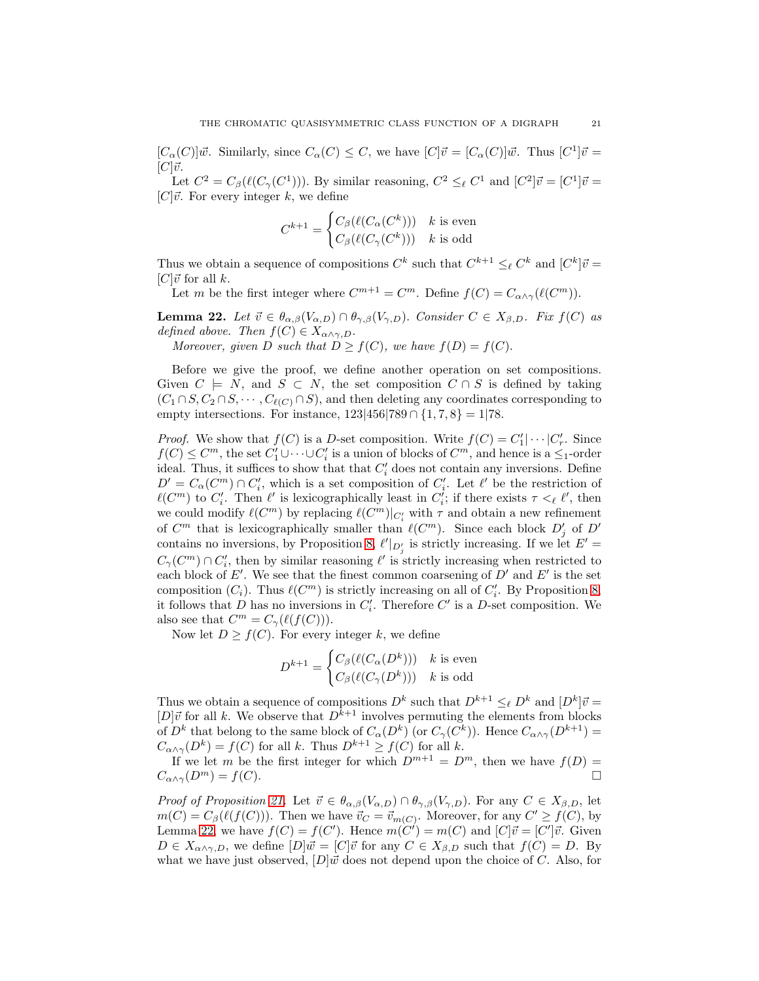$[C_{\alpha}(C)]\vec{w}$ . Similarly, since  $C_{\alpha}(C) \leq C$ , we have  $[C]\vec{v} = [C_{\alpha}(C)]\vec{w}$ . Thus  $[C^1]\vec{v} =$  $[C]\vec{v}.$ 

Let  $C^2 = C_\beta(\ell(C_\gamma(C^1)))$ . By similar reasoning,  $C^2 \leq_{\ell} C^1$  and  $[C^2]\vec{v} = [C^1]\vec{v} =$  $[C]\vec{v}$ . For every integer k, we define

$$
C^{k+1} = \begin{cases} C_{\beta}(\ell(C_{\alpha}(C^k))) & k \text{ is even} \\ C_{\beta}(\ell(C_{\gamma}(C^k))) & k \text{ is odd} \end{cases}
$$

Thus we obtain a sequence of compositions  $C^k$  such that  $C^{k+1} \leq_{\ell} C^k$  and  $[C^k] \vec{v} =$  $[C]\vec{v}$  for all k.

Let m be the first integer where  $C^{m+1} = C^m$ . Define  $f(C) = C_{\alpha \wedge \gamma}(\ell(C^m))$ .

<span id="page-20-0"></span>**Lemma 22.** Let  $\vec{v} \in \theta_{\alpha,\beta}(V_{\alpha,D}) \cap \theta_{\gamma,\beta}(V_{\gamma,D})$ . Consider  $C \in X_{\beta,D}$ . Fix  $f(C)$  as defined above. Then  $f(C) \in X_{\alpha \wedge \gamma,D}$ .

Moreover, given D such that  $D \ge f(C)$ , we have  $f(D) = f(C)$ .

Before we give the proof, we define another operation on set compositions. Given  $C \models N$ , and  $S \subset N$ , the set composition  $C \cap S$  is defined by taking  $(C_1 \cap S, C_2 \cap S, \cdots, C_{\ell(C)} \cap S)$ , and then deleting any coordinates corresponding to empty intersections. For instance,  $123|456|789 \cap \{1, 7, 8\} = 1|78$ .

*Proof.* We show that  $f(C)$  is a D-set composition. Write  $f(C) = C'_1 | \cdots | C'_r$ . Since  $f(C) \leq C^m$ , the set  $C'_1 \cup \cdots \cup C'_i$  is a union of blocks of  $C^m$ , and hence is a  $\leq_1$ -order ideal. Thus, it suffices to show that that  $C_i'$  does not contain any inversions. Define  $D' = C_{\alpha}(C^m) \cap C_i'$ , which is a set composition of  $C_i'$ . Let  $\ell'$  be the restriction of  $\ell(C^m)$  to  $C'_i$ . Then  $\ell'$  is lexicographically least in  $C'_i$ ; if there exists  $\tau <_{\ell} \ell'$ , then we could modify  $\ell(C^m)$  by replacing  $\ell(C^m)|_{C'_i}$  with  $\tau$  and obtain a new refinement of  $C^m$  that is lexicographically smaller than  $\ell(C^m)$ . Since each block  $D'_j$  of  $D'$ contains no inversions, by Proposition [8,](#page-11-1)  $\ell'|_{D'_j}$  is strictly increasing. If we let  $E' =$  $C_{\gamma}(C^m) \cap C_i'$ , then by similar reasoning  $\ell'$  is strictly increasing when restricted to each block of  $E'$ . We see that the finest common coarsening of  $D'$  and  $E'$  is the set composition  $(C_i)$ . Thus  $\ell(C^m)$  is strictly increasing on all of  $C'_i$ . By Proposition [8,](#page-11-1) it follows that D has no inversions in  $C_i'$ . Therefore  $C'$  is a D-set composition. We also see that  $C^m = C_\gamma(\ell(f(C))).$ 

Now let  $D \geq f(C)$ . For every integer k, we define

$$
D^{k+1} = \begin{cases} C_{\beta}(\ell(C_{\alpha}(D^k))) & k \text{ is even} \\ C_{\beta}(\ell(C_{\gamma}(D^k))) & k \text{ is odd} \end{cases}
$$

Thus we obtain a sequence of compositions  $D^k$  such that  $D^{k+1} \leq_{\ell} D^k$  and  $[D^k] \vec{v} =$  $[D]\vec{v}$  for all k. We observe that  $D^{k+1}$  involves permuting the elements from blocks of  $D^k$  that belong to the same block of  $C_{\alpha}(D^k)$  (or  $C_{\gamma}(C^k)$ ). Hence  $C_{\alpha\wedge\gamma}(D^{k+1})=$  $C_{\alpha\wedge\gamma}(D^k) = f(C)$  for all k. Thus  $D^{k+1} \ge f(C)$  for all k.

If we let m be the first integer for which  $D^{m+1} = D^m$ , then we have  $f(D) =$  $C_{\alpha \wedge \gamma}(D^m) = f(C).$ 

*Proof of Proposition [21.](#page-19-1)* Let  $\vec{v} \in \theta_{\alpha,\beta}(V_{\alpha,D}) \cap \theta_{\gamma,\beta}(V_{\gamma,D})$ . For any  $C \in X_{\beta,D}$ , let  $m(C) = C_{\beta}(\ell(f(C)))$ . Then we have  $\vec{v}_C = \vec{v}_{m(C)}$ . Moreover, for any  $C' \ge f(C)$ , by Lemma [22,](#page-20-0) we have  $f(C) = f(C')$ . Hence  $m(C') = m(C)$  and  $[C]\vec{v} = [C']\vec{v}$ . Given  $D \in X_{\alpha\wedge\gamma,D}$ , we define  $[D]\vec{w} = [C]\vec{v}$  for any  $C \in X_{\beta,D}$  such that  $f(C) = D$ . By what we have just observed,  $[D]\vec{w}$  does not depend upon the choice of C. Also, for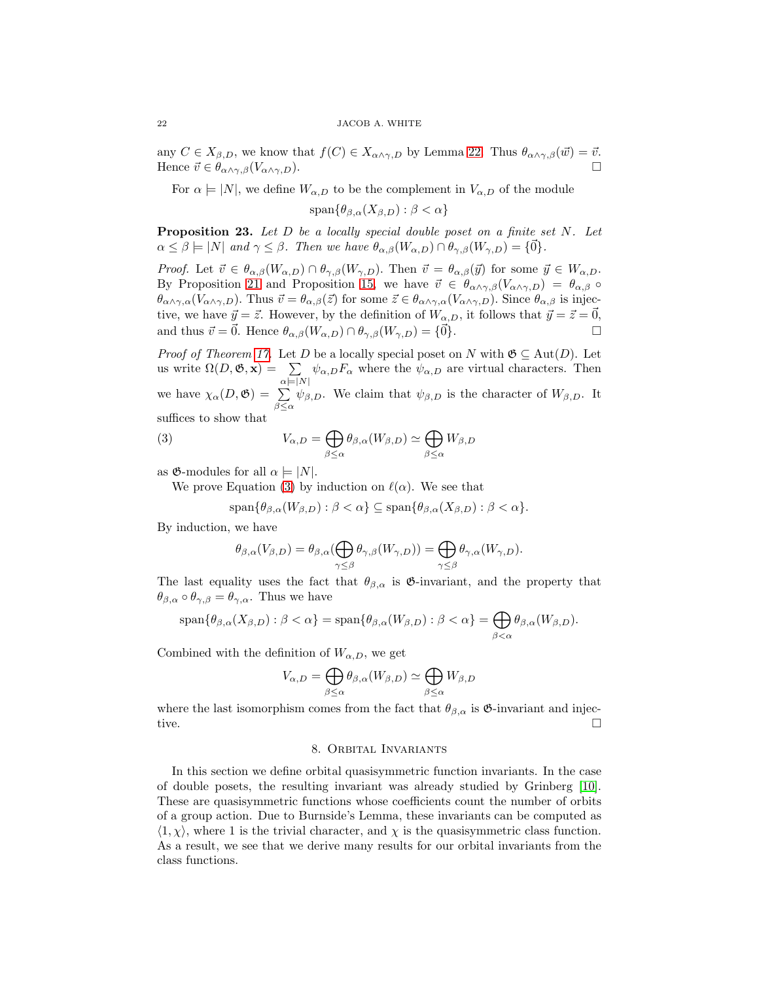any  $C \in X_{\beta,D}$ , we know that  $f(C) \in X_{\alpha \wedge \gamma,D}$  by Lemma [22.](#page-20-0) Thus  $\theta_{\alpha \wedge \gamma,\beta}(\vec{w}) = \vec{v}$ . Hence  $\vec{v} \in \theta_{\alpha \wedge \gamma,\beta}(V_{\alpha \wedge \gamma,D}).$ 

For  $\alpha \models |N|$ , we define  $W_{\alpha,D}$  to be the complement in  $V_{\alpha,D}$  of the module

 $span{\theta_{\beta,\alpha}(X_{\beta,D}) : \beta < \alpha}$ 

Proposition 23. Let D be a locally special double poset on a finite set N. Let  $\alpha \leq \beta \models |N|$  and  $\gamma \leq \beta$ . Then we have  $\theta_{\alpha,\beta}(W_{\alpha,D}) \cap \theta_{\gamma,\beta}(W_{\gamma,D}) = {\overline{0}}.$ 

*Proof.* Let  $\vec{v} \in \theta_{\alpha,\beta}(W_{\alpha,D}) \cap \theta_{\gamma,\beta}(W_{\gamma,D})$ . Then  $\vec{v} = \theta_{\alpha,\beta}(\vec{y})$  for some  $\vec{y} \in W_{\alpha,D}$ . By Proposition [21](#page-19-1) and Proposition [15,](#page-17-3) we have  $\vec{v} \in \theta_{\alpha \wedge \gamma,\beta}(V_{\alpha \wedge \gamma,D}) = \theta_{\alpha,\beta} \circ$  $\theta_{\alpha\wedge\gamma,\alpha}(V_{\alpha\wedge\gamma,D})$ . Thus  $\vec{v} = \theta_{\alpha,\beta}(\vec{z})$  for some  $\vec{z} \in \theta_{\alpha\wedge\gamma,\alpha}(V_{\alpha\wedge\gamma,D})$ . Since  $\theta_{\alpha,\beta}$  is injective, we have  $\vec{y} = \vec{z}$ . However, by the definition of  $W_{\alpha,D}$ , it follows that  $\vec{y} = \vec{z} = \vec{0}$ , and thus  $\vec{v} = \vec{0}$ . Hence  $\theta_{\alpha,\beta}(W_{\alpha,D}) \cap \theta_{\gamma,\beta}(W_{\gamma,D}) = {\vec{0}}.$ 

*Proof of Theorem [17.](#page-18-0)* Let D be a locally special poset on N with  $\mathfrak{G} \subseteq \text{Aut}(D)$ . Let us write  $\Omega(D, \mathfrak{G}, \mathbf{x}) = \sum$  $\alpha = |N|$  $\psi_{\alpha,D}F_{\alpha}$  where the  $\psi_{\alpha,D}$  are virtual characters. Then we have  $\chi_{\alpha}(D, \mathfrak{G}) = \sum_{\beta \leq \alpha} \psi_{\beta, D}$ . We claim that  $\psi_{\beta, D}$  is the character of  $W_{\beta, D}$ . It suffices to show that

(3) 
$$
V_{\alpha,D} = \bigoplus_{\beta \leq \alpha} \theta_{\beta,\alpha}(W_{\beta,D}) \simeq \bigoplus_{\beta \leq \alpha} W_{\beta,D}
$$

as  $\mathfrak{G}\text{-modules}$  for all  $\alpha \models |N|$ .

We prove Equation [\(3\)](#page-21-1) by induction on  $\ell(\alpha)$ . We see that

<span id="page-21-1"></span>
$$
\text{span}\{\theta_{\beta,\alpha}(W_{\beta,D}) : \beta < \alpha\} \subseteq \text{span}\{\theta_{\beta,\alpha}(X_{\beta,D}) : \beta < \alpha\}.
$$

By induction, we have

$$
\theta_{\beta,\alpha}(V_{\beta,D}) = \theta_{\beta,\alpha}(\bigoplus_{\gamma\leq\beta}\theta_{\gamma,\beta}(W_{\gamma,D})) = \bigoplus_{\gamma\leq\beta}\theta_{\gamma,\alpha}(W_{\gamma,D}).
$$

The last equality uses the fact that  $\theta_{\beta,\alpha}$  is  $\mathfrak{G}$ -invariant, and the property that  $\theta_{\beta,\alpha} \circ \theta_{\gamma,\beta} = \theta_{\gamma,\alpha}$ . Thus we have

$$
\text{span}\{\theta_{\beta,\alpha}(X_{\beta,D}) : \beta < \alpha\} = \text{span}\{\theta_{\beta,\alpha}(W_{\beta,D}) : \beta < \alpha\} = \bigoplus_{\beta < \alpha} \theta_{\beta,\alpha}(W_{\beta,D}).
$$

Combined with the definition of  $W_{\alpha,D}$ , we get

$$
V_{\alpha,D} = \bigoplus_{\beta \leq \alpha} \theta_{\beta,\alpha}(W_{\beta,D}) \simeq \bigoplus_{\beta \leq \alpha} W_{\beta,D}
$$

<span id="page-21-0"></span>where the last isomorphism comes from the fact that  $\theta_{\beta,\alpha}$  is  $\mathfrak{G}\text{-invariant}$  and injective.

# 8. Orbital Invariants

In this section we define orbital quasisymmetric function invariants. In the case of double posets, the resulting invariant was already studied by Grinberg [\[10\]](#page-26-1). These are quasisymmetric functions whose coefficients count the number of orbits of a group action. Due to Burnside's Lemma, these invariants can be computed as  $\langle 1, \chi \rangle$ , where 1 is the trivial character, and  $\chi$  is the quasisymmetric class function. As a result, we see that we derive many results for our orbital invariants from the class functions.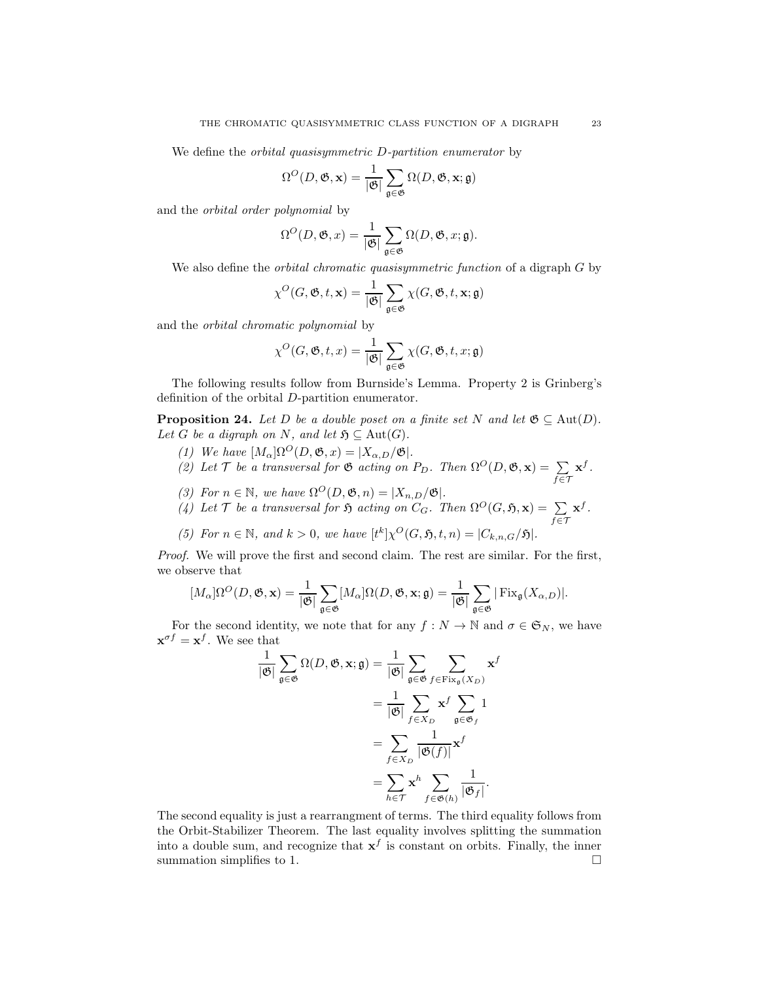We define the *orbital quasisymmetric D-partition enumerator* by

$$
\Omega^{O}(D, \mathfrak{G}, \mathbf{x}) = \frac{1}{|\mathfrak{G}|} \sum_{\mathfrak{g} \in \mathfrak{G}} \Omega(D, \mathfrak{G}, \mathbf{x}; \mathfrak{g})
$$

and the orbital order polynomial by

$$
\Omega^O(D, \mathfrak{G},x)=\frac{1}{|\mathfrak{G}|}\sum_{\mathfrak{g}\in \mathfrak{G}}\Omega(D, \mathfrak{G},x;\mathfrak{g}).
$$

We also define the *orbital chromatic quasisymmetric function* of a digraph  $G$  by

$$
\chi^{O}(G, \mathfrak{G}, t, \mathbf{x}) = \frac{1}{|\mathfrak{G}|} \sum_{\mathfrak{g} \in \mathfrak{G}} \chi(G, \mathfrak{G}, t, \mathbf{x}; \mathfrak{g})
$$

and the orbital chromatic polynomial by

$$
\chi^{O}(G, \mathfrak{G}, t, x) = \frac{1}{|\mathfrak{G}|} \sum_{\mathfrak{g} \in \mathfrak{G}} \chi(G, \mathfrak{G}, t, x; \mathfrak{g})
$$

The following results follow from Burnside's Lemma. Property 2 is Grinberg's definition of the orbital D-partition enumerator.

**Proposition 24.** Let D be a double poset on a finite set N and let  $\mathfrak{G} \subseteq \text{Aut}(D)$ . Let G be a digraph on N, and let  $\mathfrak{H} \subseteq \text{Aut}(G)$ .

- (1) We have  $[M_{\alpha}]\Omega^{O}(D,\mathfrak{G},x) = |X_{\alpha,D}/\mathfrak{G}|.$
- (2) Let T be a transversal for  $\mathfrak G$  acting on  $P_D$ . Then  $\Omega^O(D, \mathfrak G, \mathbf x) = \sum \mathbf x^f$ .  $f \!\in\! \mathcal{T}$
- (3) For  $n \in \mathbb{N}$ , we have  $\Omega^O(D, \mathfrak{G}, n) = |X_{n,D}/\mathfrak{G}|$ .
- (4) Let T be a transversal for  $\mathfrak H$  acting on  $C_G$ . Then  $\Omega^O(G, \mathfrak H, \mathbf x) = \sum_{\alpha}$  $f \in \mathcal{T}$  $\mathbf{x}^f$  .
- (5) For  $n \in \mathbb{N}$ , and  $k > 0$ , we have  $[t^k] \chi^O(G, \mathfrak{H}, t, n) = |C_{k,n,G}/\mathfrak{H}|$ .

Proof. We will prove the first and second claim. The rest are similar. For the first, we observe that

$$
[M_{\alpha}]\Omega^{O}(D, \mathfrak{G}, \mathbf{x}) = \frac{1}{|\mathfrak{G}|} \sum_{\mathfrak{g} \in \mathfrak{G}} [M_{\alpha}]\Omega(D, \mathfrak{G}, \mathbf{x}; \mathfrak{g}) = \frac{1}{|\mathfrak{G}|} \sum_{\mathfrak{g} \in \mathfrak{G}} |\operatorname{Fix}_{\mathfrak{g}}(X_{\alpha,D})|.
$$

For the second identity, we note that for any  $f: N \to \mathbb{N}$  and  $\sigma \in \mathfrak{S}_N$ , we have  $\mathbf{x}^{\sigma f} = \mathbf{x}^f$ . We see that

$$
\frac{1}{|\mathfrak{G}|} \sum_{\mathfrak{g} \in \mathfrak{G}} \Omega(D, \mathfrak{G}, \mathbf{x}; \mathfrak{g}) = \frac{1}{|\mathfrak{G}|} \sum_{\mathfrak{g} \in \mathfrak{G}} \sum_{f \in \text{Fix}_{\mathfrak{g}}(X_D)} \mathbf{x}^f
$$

$$
= \frac{1}{|\mathfrak{G}|} \sum_{f \in X_D} \mathbf{x}^f \sum_{\mathfrak{g} \in \mathfrak{G}_f} 1
$$

$$
= \sum_{f \in X_D} \frac{1}{|\mathfrak{G}(f)|} \mathbf{x}^f
$$

$$
= \sum_{h \in \mathcal{T}} \mathbf{x}^h \sum_{f \in \mathfrak{G}(h)} \frac{1}{|\mathfrak{G}_f|}.
$$

The second equality is just a rearrangment of terms. The third equality follows from the Orbit-Stabilizer Theorem. The last equality involves splitting the summation into a double sum, and recognize that  $x^f$  is constant on orbits. Finally, the inner summation simplifies to 1.  $\Box$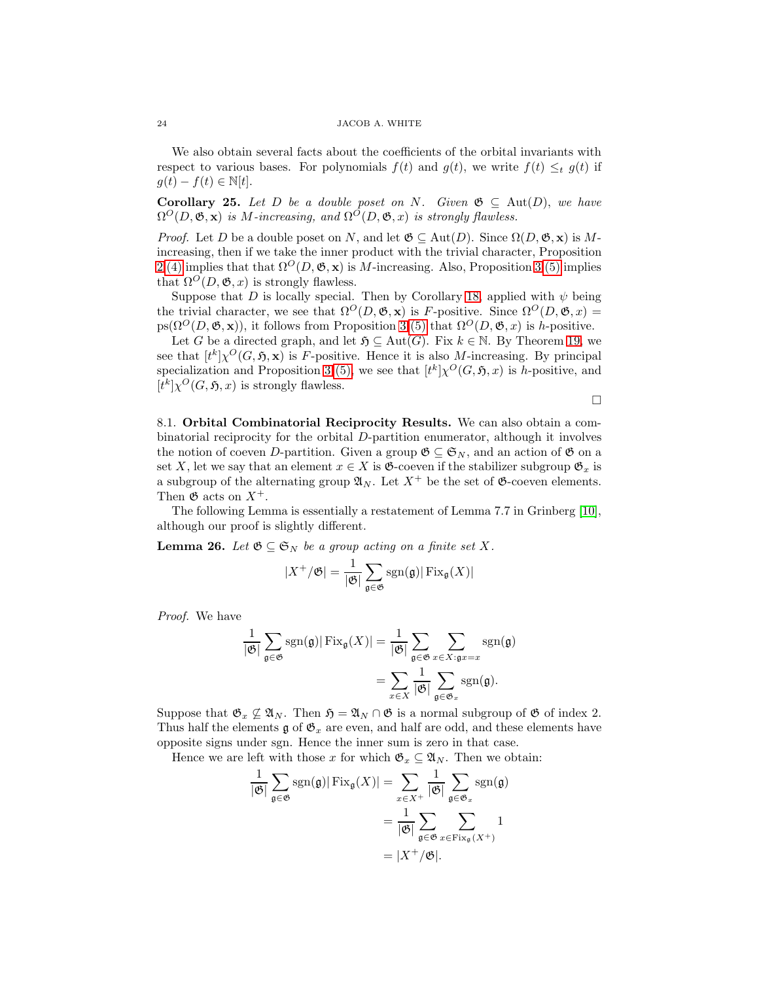We also obtain several facts about the coefficients of the orbital invariants with respect to various bases. For polynomials  $f(t)$  and  $g(t)$ , we write  $f(t) \leq_t g(t)$  if  $g(t) - f(t) \in \mathbb{N}[t].$ 

**Corollary 25.** Let D be a double poset on N. Given  $\mathfrak{G} \subseteq \text{Aut}(D)$ , we have  $\Omega^O(D, \mathfrak{G}, \mathbf{x})$  is M-increasing, and  $\Omega^O(D, \mathfrak{G}, x)$  is strongly flawless.

*Proof.* Let D be a double poset on N, and let  $\mathfrak{G} \subseteq \text{Aut}(D)$ . Since  $\Omega(D, \mathfrak{G}, \mathbf{x})$  is Mincreasing, then if we take the inner product with the trivial character, Proposition [2](#page-5-0) [\(4\)](#page-5-2) implies that that  $\Omega^O(D, \mathfrak{G}, \mathbf{x})$  is M-increasing. Also, Proposition [3](#page-6-0) [\(5\)](#page-7-2) implies that  $\Omega^O(D, \mathfrak{G}, x)$  is strongly flawless.

Suppose that D is locally special. Then by Corollary [18,](#page-19-2) applied with  $\psi$  being the trivial character, we see that  $\Omega^O(D, \mathfrak{G}, \mathbf{x})$  is F-positive. Since  $\Omega^O(D, \mathfrak{G}, x)$  =  $ps(\Omega^O(D, \mathfrak{G}, \mathbf{x}))$ , it follows from Proposition [3](#page-6-0) [\(5\)](#page-7-2) that  $\Omega^O(D, \mathfrak{G}, x)$  is h-positive.

Let G be a directed graph, and let  $\mathfrak{H} \subseteq \text{Aut}(G)$ . Fix  $k \in \mathbb{N}$ . By Theorem [19,](#page-19-0) we see that  $[t^k] \chi^O(G, \mathfrak{H}, \mathbf{x})$  is F-positive. Hence it is also M-increasing. By principal specialization and Proposition [3](#page-6-0) [\(5\),](#page-7-2) we see that  $[t^k] \chi^O(G, \mathfrak{H}, x)$  is h-positive, and  $[t^k] \chi^O(G, \mathfrak{H}, x)$  is strongly flawless.

$$
\Box
$$

8.1. Orbital Combinatorial Reciprocity Results. We can also obtain a combinatorial reciprocity for the orbital D-partition enumerator, although it involves the notion of coeven D-partition. Given a group  $\mathfrak{G} \subseteq \mathfrak{S}_N$ , and an action of  $\mathfrak{G}$  on a set X, let we say that an element  $x \in X$  is  $\mathfrak{G}$ -coeven if the stabilizer subgroup  $\mathfrak{G}_x$  is a subgroup of the alternating group  $\mathfrak{A}_N$ . Let  $X^+$  be the set of  $\mathfrak{G}$ -coeven elements. Then  $\mathfrak{G}$  acts on  $X^+$ .

The following Lemma is essentially a restatement of Lemma 7.7 in Grinberg [\[10\]](#page-26-1), although our proof is slightly different.

<span id="page-23-0"></span>**Lemma 26.** Let  $\mathfrak{G} \subseteq \mathfrak{S}_N$  be a group acting on a finite set X.

$$
|X^+/\mathfrak{G}| = \frac{1}{|\mathfrak{G}|} \sum_{\mathfrak{g} \in \mathfrak{G}} \text{sgn}(\mathfrak{g}) |\operatorname{Fix}_{\mathfrak{g}}(X)|
$$

Proof. We have

$$
\frac{1}{|\mathfrak{G}|} \sum_{\mathfrak{g} \in \mathfrak{G}} \text{sgn}(\mathfrak{g}) |\text{Fix}_{\mathfrak{g}}(X)| = \frac{1}{|\mathfrak{G}|} \sum_{\mathfrak{g} \in \mathfrak{G}} \sum_{x \in X : \mathfrak{g}x = x} \text{sgn}(\mathfrak{g})
$$

$$
= \sum_{x \in X} \frac{1}{|\mathfrak{G}|} \sum_{\mathfrak{g} \in \mathfrak{G}_x} \text{sgn}(\mathfrak{g}).
$$

Suppose that  $\mathfrak{G}_x \nsubseteq \mathfrak{A}_N$ . Then  $\mathfrak{H} = \mathfrak{A}_N \cap \mathfrak{G}$  is a normal subgroup of  $\mathfrak{G}$  of index 2. Thus half the elements  $\mathfrak g$  of  $\mathfrak G_x$  are even, and half are odd, and these elements have opposite signs under sgn. Hence the inner sum is zero in that case.

Hence we are left with those x for which  $\mathfrak{G}_x \subseteq \mathfrak{A}_N$ . Then we obtain:

$$
\frac{1}{|\mathfrak{G}|} \sum_{\mathfrak{g} \in \mathfrak{G}} \text{sgn}(\mathfrak{g}) |\text{Fix}_{\mathfrak{g}}(X)| = \sum_{x \in X^+} \frac{1}{|\mathfrak{G}|} \sum_{\mathfrak{g} \in \mathfrak{G}_x} \text{sgn}(\mathfrak{g})
$$

$$
= \frac{1}{|\mathfrak{G}|} \sum_{\mathfrak{g} \in \mathfrak{G}} \sum_{x \in \text{Fix}_{\mathfrak{g}}(X^+)} 1
$$

$$
= |X^+/\mathfrak{G}|.
$$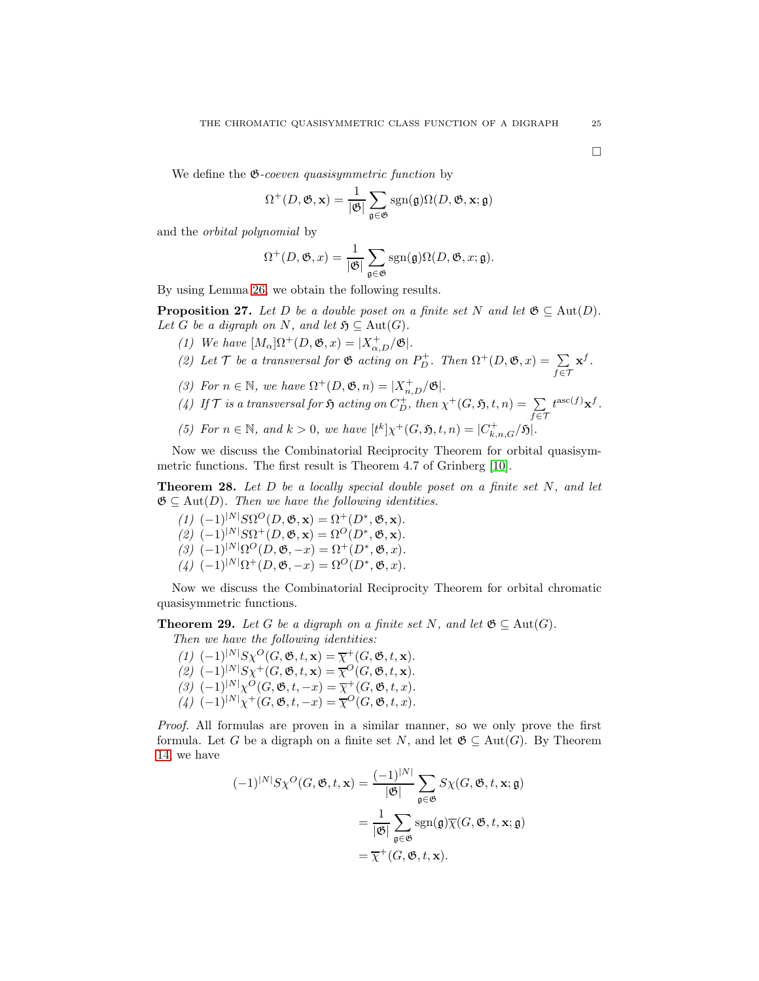We define the  $\mathfrak{G}$ -coeven quasisymmetric function by

$$
\Omega^+(D, \mathfrak{G}, \mathbf{x}) = \frac{1}{|\mathfrak{G}|} \sum_{\mathfrak{g} \in \mathfrak{G}} \text{sgn}(\mathfrak{g}) \Omega(D, \mathfrak{G}, \mathbf{x}; \mathfrak{g})
$$

and the orbital polynomial by

$$
\Omega^+(D, \mathfrak{G}, x) = \frac{1}{|\mathfrak{G}|} \sum_{\mathfrak{g} \in \mathfrak{G}} \text{sgn}(\mathfrak{g}) \Omega(D, \mathfrak{G}, x; \mathfrak{g}).
$$

By using Lemma [26,](#page-23-0) we obtain the following results.

**Proposition 27.** Let D be a double poset on a finite set N and let  $\mathfrak{G} \subseteq \text{Aut}(D)$ . Let G be a digraph on N, and let  $\mathfrak{H} \subseteq \text{Aut}(G)$ .

- (1) We have  $[M_{\alpha}]\Omega^{+}(D,\mathfrak{G},x) = |X_{\alpha,D}^{+}/\mathfrak{G}|.$
- (2) Let T be a transversal for  $\mathfrak G$  acting on  $P^+_D$ . Then  $\Omega^+(D,\mathfrak G,x)=\sum_{n=1}^{\infty}x^f$ . f∈T
- (3) For  $n \in \mathbb{N}$ , we have  $\Omega^+(D, \mathfrak{G}, n) = |X_{n,D}^+/\mathfrak{G}|$ .
- (4) If  $\mathcal T$  is a transversal for  $\mathfrak H$  acting on  $C_D^+$ , then  $\chi^+(G, \mathfrak H, t, n) = \sum_{\alpha}$  $t^{\mathrm{asc}(f)}\mathbf{x}^f$ .
- (5) For  $n \in \mathbb{N}$ , and  $k > 0$ , we have  $[t^k] \chi^+(G, \mathfrak{H}, t, n) = |C^+_{k,n,G} / \mathfrak{H}|$ .

Now we discuss the Combinatorial Reciprocity Theorem for orbital quasisymmetric functions. The first result is Theorem 4.7 of Grinberg [\[10\]](#page-26-1).

**Theorem 28.** Let  $D$  be a locally special double poset on a finite set  $N$ , and let  $\mathfrak{G} \subseteq \text{Aut}(D)$ . Then we have the following identities.

- $(1)$   $(-1)^{|N|}S\Omega^{O}(D, \mathfrak{G}, \mathbf{x}) = \Omega^{+}(D^*, \mathfrak{G}, \mathbf{x}).$
- $(2)$   $(-1)^{|N|}S\Omega^{+}(D, \mathfrak{G}, \mathbf{x}) = \Omega^{O}(D^{*}, \mathfrak{G}, \mathbf{x}).$
- $(3)$   $(-1)^{|N|}\Omega^{O}(D, \mathfrak{G}, -x) = \Omega^{+}(D^{*}, \mathfrak{G}, x).$
- $(4)$   $(-1)^{|N|}\Omega^{+}(D, \mathfrak{G}, -x) = \Omega^{O}(D^{*}, \mathfrak{G}, x).$

Now we discuss the Combinatorial Reciprocity Theorem for orbital chromatic quasisymmetric functions.

**Theorem 29.** Let G be a digraph on a finite set N, and let  $\mathfrak{G} \subseteq \text{Aut}(G)$ .

Then we have the following identities:

 $(1)$   $(-1)^{|N|}S\chi^{O}(G,\mathfrak{G},t,\mathbf{x})=\overline{\chi}^{+}(G,\mathfrak{G},t,\mathbf{x}).$ (2)  $(-1)^{|N|}S_{\chi}^+(G, \mathfrak{G}, t, \mathbf{x}) = \overline{\chi}^O(G, \mathfrak{G}, t, \mathbf{x}).$ (3)  $(-1)^{|N|} \chi^O(G, \mathfrak{G}, t, -x) = \overline{\chi}^+(G, \mathfrak{G}, t, x).$ (4)  $(-1)^{|N|}\chi^+(G, \mathfrak{G}, t, -x) = \overline{\chi}^O(G, \mathfrak{G}, t, x).$ 

Proof. All formulas are proven in a similar manner, so we only prove the first formula. Let G be a digraph on a finite set N, and let  $\mathfrak{G} \subseteq Aut(G)$ . By Theorem [14,](#page-16-0) we have

$$
(-1)^{|N|} S \chi^{O}(G, \mathfrak{G}, t, \mathbf{x}) = \frac{(-1)^{|N|}}{|\mathfrak{G}|} \sum_{\mathfrak{g} \in \mathfrak{G}} S \chi(G, \mathfrak{G}, t, \mathbf{x}; \mathfrak{g})
$$

$$
= \frac{1}{|\mathfrak{G}|} \sum_{\mathfrak{g} \in \mathfrak{G}} \text{sgn}(\mathfrak{g}) \overline{\chi}(G, \mathfrak{G}, t, \mathbf{x}; \mathfrak{g})
$$

$$
= \overline{\chi}^{+}(G, \mathfrak{G}, t, \mathbf{x}).
$$

 $\Box$ 

 $f \in \mathcal{T}$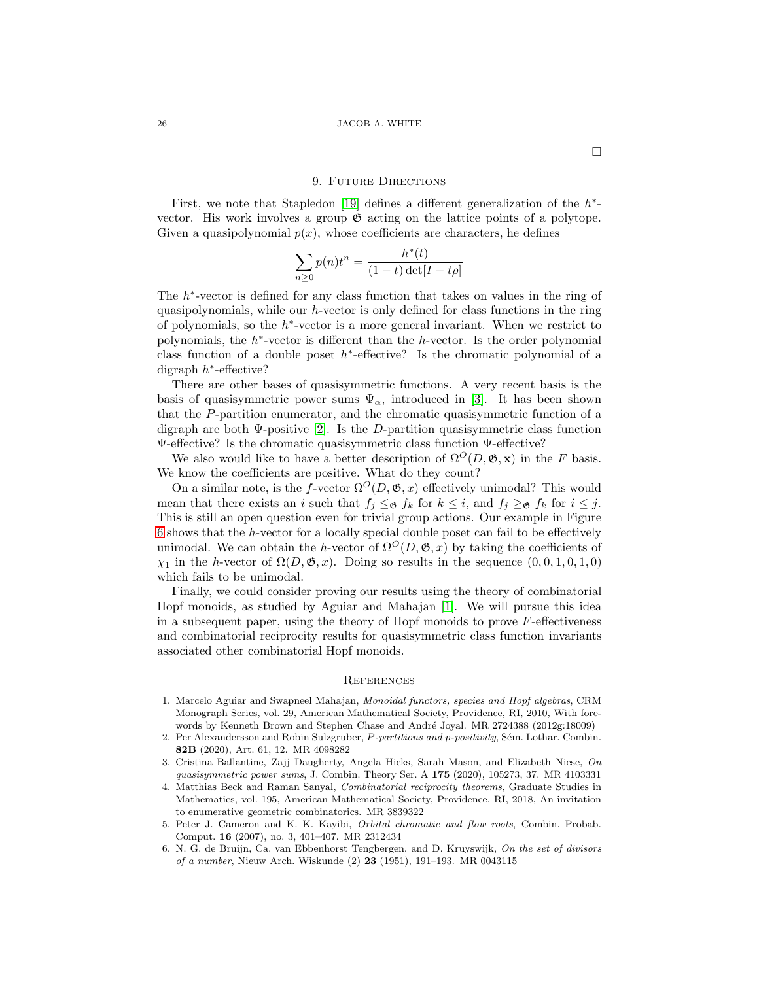## 9. Future Directions

<span id="page-25-2"></span>First, we note that Stapledon [\[19\]](#page-26-2) defines a different generalization of the  $h^*$ vector. His work involves a group  $\mathfrak G$  acting on the lattice points of a polytope. Given a quasipolynomial  $p(x)$ , whose coefficients are characters, he defines

$$
\sum_{n\geq 0} p(n)t^n = \frac{h^*(t)}{(1-t)\det[I-t\rho]}
$$

The  $h^*$ -vector is defined for any class function that takes on values in the ring of quasipolynomials, while our  $h$ -vector is only defined for class functions in the ring of polynomials, so the  $h^*$ -vector is a more general invariant. When we restrict to polynomials, the  $h^*$ -vector is different than the  $h$ -vector. Is the order polynomial class function of a double poset  $h^*$ -effective? Is the chromatic polynomial of a digraph h ∗ -effective?

There are other bases of quasisymmetric functions. A very recent basis is the basis of quasisymmetric power sums  $\Psi_{\alpha}$ , introduced in [\[3\]](#page-25-4). It has been shown that the P-partition enumerator, and the chromatic quasisymmetric function of a digraph are both  $\Psi$ -positive [\[2\]](#page-25-5). Is the D-partition quasisymmetric class function Ψ-effective? Is the chromatic quasisymmetric class function Ψ-effective?

We also would like to have a better description of  $\Omega^O(D, \mathfrak{G}, \mathbf{x})$  in the F basis. We know the coefficients are positive. What do they count?

On a similar note, is the f-vector  $\Omega^O(D, \mathfrak{G}, x)$  effectively unimodal? This would mean that there exists an i such that  $f_j \leq_{\mathfrak{G}} f_k$  for  $k \leq i$ , and  $f_j \geq_{\mathfrak{G}} f_k$  for  $i \leq j$ . This is still an open question even for trivial group actions. Our example in Figure [6](#page-17-1) shows that the h-vector for a locally special double poset can fail to be effectively unimodal. We can obtain the h-vector of  $\Omega^O(D, \mathfrak{G}, x)$  by taking the coefficients of  $\chi_1$  in the h-vector of  $\Omega(D, \mathfrak{G}, x)$ . Doing so results in the sequence  $(0, 0, 1, 0, 1, 0)$ which fails to be unimodal.

Finally, we could consider proving our results using the theory of combinatorial Hopf monoids, as studied by Aguiar and Mahajan [\[1\]](#page-25-6). We will pursue this idea in a subsequent paper, using the theory of Hopf monoids to prove  $F$ -effectiveness and combinatorial reciprocity results for quasisymmetric class function invariants associated other combinatorial Hopf monoids.

## **REFERENCES**

- <span id="page-25-6"></span>1. Marcelo Aguiar and Swapneel Mahajan, Monoidal functors, species and Hopf algebras, CRM Monograph Series, vol. 29, American Mathematical Society, Providence, RI, 2010, With forewords by Kenneth Brown and Stephen Chase and André Joyal. MR 2724388 (2012g:18009)
- <span id="page-25-5"></span>2. Per Alexandersson and Robin Sulzgruber, P-partitions and p-positivity, Sém. Lothar. Combin. 82B (2020), Art. 61, 12. MR 4098282
- <span id="page-25-4"></span>3. Cristina Ballantine, Zajj Daugherty, Angela Hicks, Sarah Mason, and Elizabeth Niese, On quasisymmetric power sums, J. Combin. Theory Ser. A 175 (2020), 105273, 37. MR 4103331
- <span id="page-25-1"></span>4. Matthias Beck and Raman Sanyal, Combinatorial reciprocity theorems, Graduate Studies in Mathematics, vol. 195, American Mathematical Society, Providence, RI, 2018, An invitation to enumerative geometric combinatorics. MR 3839322
- <span id="page-25-0"></span>5. Peter J. Cameron and K. K. Kayibi, Orbital chromatic and flow roots, Combin. Probab. Comput. 16 (2007), no. 3, 401–407. MR 2312434
- <span id="page-25-3"></span>6. N. G. de Bruijn, Ca. van Ebbenhorst Tengbergen, and D. Kruyswijk, On the set of divisors of a number, Nieuw Arch. Wiskunde (2) 23 (1951), 191–193. MR 0043115